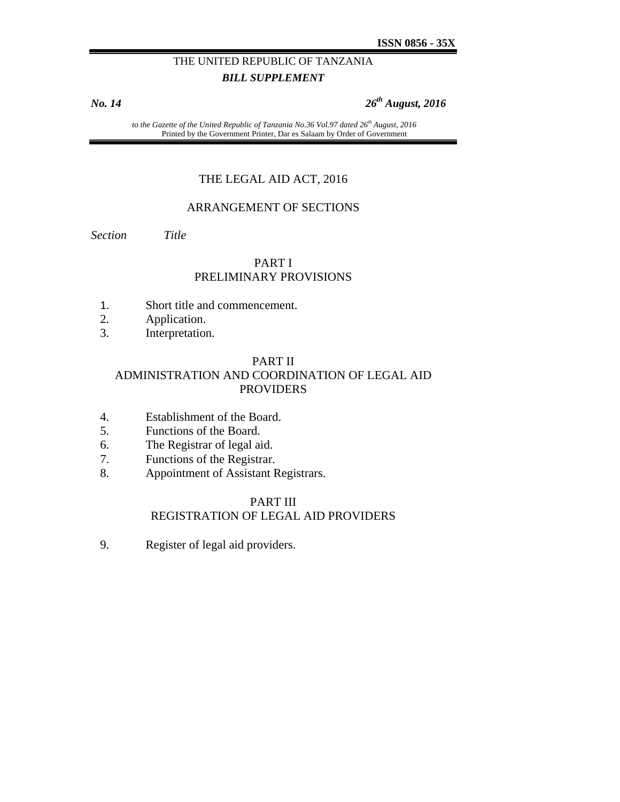## THE UNITED REPUBLIC OF TANZANIA *BILL SUPPLEMENT*

*No. 14 26th August, 2016* 

to the Gazette of the United Republic of Tanzania No.36 Vol.97 dated 26<sup>th</sup> August, 2016 Printed by the Government Printer, Dar es Salaam by Order of Government

#### THE LEGAL AID ACT, 2016

#### ARRANGEMENT OF SECTIONS

*Section Title* 

#### PART I PRELIMINARY PROVISIONS

- 1. Short title and commencement.
- 2. Application.
- 3. Interpretation.

#### PART II

## ADMINISTRATION AND COORDINATION OF LEGAL AID PROVIDERS

- 4. Establishment of the Board.
- 5. Functions of the Board.
- 6. The Registrar of legal aid.
- 7. Functions of the Registrar.
- 8. Appointment of Assistant Registrars.

#### PART III REGISTRATION OF LEGAL AID PROVIDERS

9. Register of legal aid providers.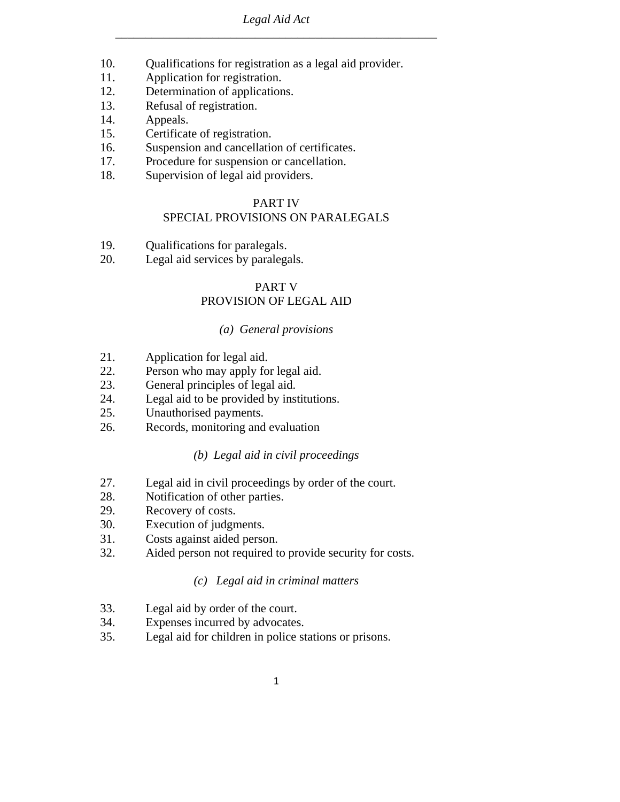- 10. Qualifications for registration as a legal aid provider.
- 11. Application for registration.
- 12. Determination of applications.
- 13. Refusal of registration.
- 14. Appeals.
- 15. Certificate of registration.
- 16. Suspension and cancellation of certificates.
- 17. Procedure for suspension or cancellation.
- 18. Supervision of legal aid providers.

#### PART IV

## SPECIAL PROVISIONS ON PARALEGALS

- 19. Qualifications for paralegals.
- 20. Legal aid services by paralegals.

## PART V PROVISION OF LEGAL AID

#### *(a) General provisions*

- 21. Application for legal aid.
- 22. Person who may apply for legal aid.
- 23. General principles of legal aid.
- 24. Legal aid to be provided by institutions.
- 25. Unauthorised payments.
- 26. Records, monitoring and evaluation

#### *(b) Legal aid in civil proceedings*

- 27. Legal aid in civil proceedings by order of the court.
- 28. Notification of other parties.
- 29. Recovery of costs.
- 30. Execution of judgments.
- 31. Costs against aided person.
- 32. Aided person not required to provide security for costs.

#### *(c) Legal aid in criminal matters*

- 33. Legal aid by order of the court.
- 34. Expenses incurred by advocates.
- 35. Legal aid for children in police stations or prisons.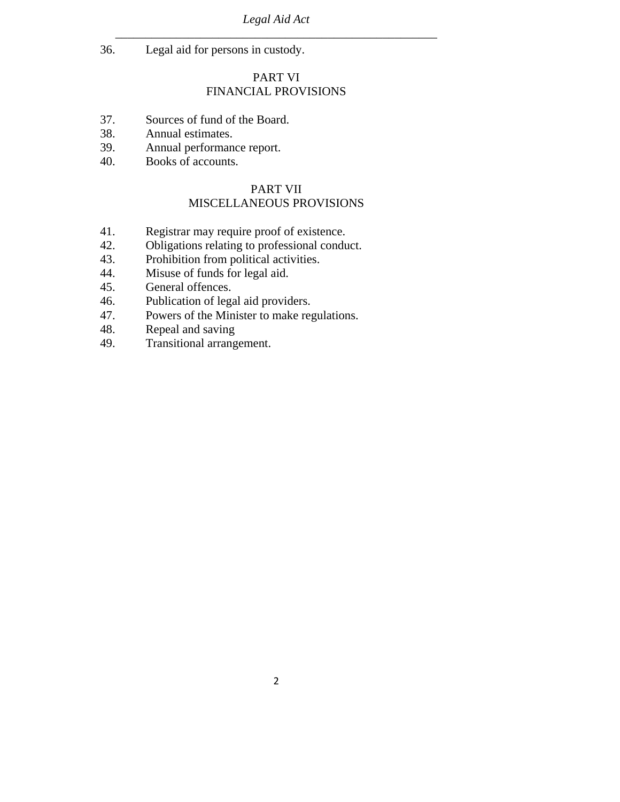36. Legal aid for persons in custody.

#### PART VI

## FINANCIAL PROVISIONS

- 37. Sources of fund of the Board.
- 38. Annual estimates.
- 39. Annual performance report.
- 40. Books of accounts.

#### PART VII MISCELLANEOUS PROVISIONS

- 41. Registrar may require proof of existence.
- 42. Obligations relating to professional conduct.
- 43. Prohibition from political activities.
- 44. Misuse of funds for legal aid.
- 45. General offences.
- 46. Publication of legal aid providers.
- 47. Powers of the Minister to make regulations.
- 48. Repeal and saving
- 49. Transitional arrangement.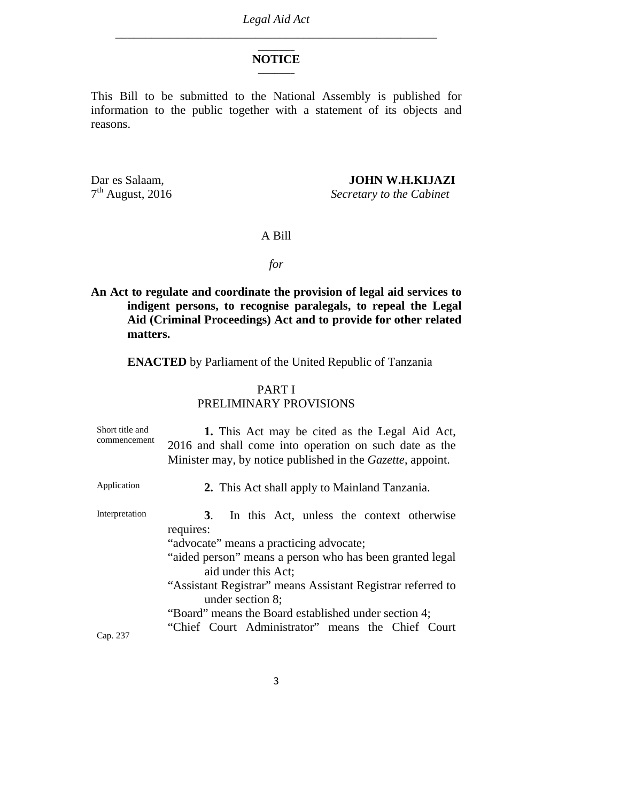#### \_\_\_\_\_\_\_\_\_ **NOTICE**   $\overline{\phantom{a}}$

This Bill to be submitted to the National Assembly is published for information to the public together with a statement of its objects and reasons.

Dar es Salaam, **JOHN W.H.KIJAZI**<br>  $7^{\text{th}}$  August, 2016 <br> *Secretary to the Cabinet* 

**Secretary to the Cabinet** 

#### A Bill

#### *for*

## **An Act to regulate and coordinate the provision of legal aid services to indigent persons, to recognise paralegals, to repeal the Legal Aid (Criminal Proceedings) Act and to provide for other related matters.**

**ENACTED** by Parliament of the United Republic of Tanzania

#### PART I PRELIMINARY PROVISIONS

| Short title and<br>commencement | 1. This Act may be cited as the Legal Aid Act,<br>2016 and shall come into operation on such date as the<br>Minister may, by notice published in the <i>Gazette</i> , appoint.                                                                                                                                                                                                                     |
|---------------------------------|----------------------------------------------------------------------------------------------------------------------------------------------------------------------------------------------------------------------------------------------------------------------------------------------------------------------------------------------------------------------------------------------------|
| Application                     | 2. This Act shall apply to Mainland Tanzania.                                                                                                                                                                                                                                                                                                                                                      |
| Interpretation                  | In this Act, unless the context otherwise<br><b>3</b> .<br>requires:<br>"advocate" means a practicing advocate;<br>"aided person" means a person who has been granted legal<br>aid under this Act;<br>"Assistant Registrar" means Assistant Registrar referred to<br>under section 8;<br>"Board" means the Board established under section 4;<br>"Chief Court Administrator" means the Chief Court |
| Cap. 237                        |                                                                                                                                                                                                                                                                                                                                                                                                    |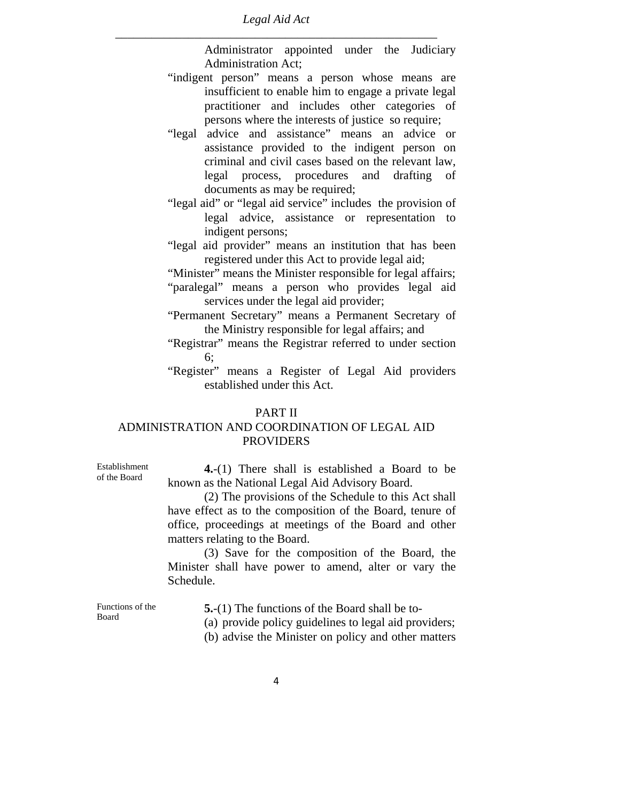Administrator appointed under the Judiciary Administration Act;

- "indigent person" means a person whose means are insufficient to enable him to engage a private legal practitioner and includes other categories of persons where the interests of justice so require;
- "legal advice and assistance" means an advice or assistance provided to the indigent person on criminal and civil cases based on the relevant law, legal process, procedures and drafting of documents as may be required;
- "legal aid" or "legal aid service" includes the provision of legal advice, assistance or representation to indigent persons;
- "legal aid provider" means an institution that has been registered under this Act to provide legal aid;
- "Minister" means the Minister responsible for legal affairs;
- "paralegal" means a person who provides legal aid services under the legal aid provider;
- "Permanent Secretary" means a Permanent Secretary of the Ministry responsible for legal affairs; and
- "Registrar" means the Registrar referred to under section 6;
- "Register" means a Register of Legal Aid providers established under this Act.

## PART II

## ADMINISTRATION AND COORDINATION OF LEGAL AID **PROVIDERS**

**4.**-(1) There shall is established a Board to be known as the National Legal Aid Advisory Board.

 (2) The provisions of the Schedule to this Act shall have effect as to the composition of the Board, tenure of office, proceedings at meetings of the Board and other matters relating to the Board.

 (3) Save for the composition of the Board, the Minister shall have power to amend, alter or vary the Schedule.

Functions of the Board

Establishment of the Board

**5.**-(1) The functions of the Board shall be to-

(a) provide policy guidelines to legal aid providers;

(b) advise the Minister on policy and other matters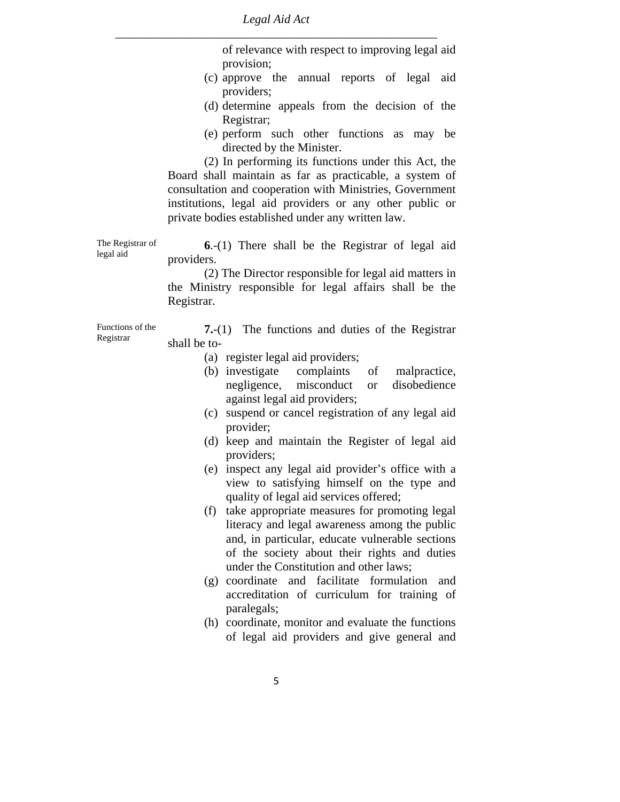> of relevance with respect to improving legal aid provision;

- (c) approve the annual reports of legal aid providers;
- (d) determine appeals from the decision of the Registrar;
- (e) perform such other functions as may be directed by the Minister.

 (2) In performing its functions under this Act, the Board shall maintain as far as practicable, a system of consultation and cooperation with Ministries, Government institutions, legal aid providers or any other public or private bodies established under any written law.

The Registrar of legal aid **6**.-(1) There shall be the Registrar of legal aid providers.

> (2) The Director responsible for legal aid matters in the Ministry responsible for legal affairs shall be the Registrar.

Functions of the Registrar **7.**-(1) The functions and duties of the Registrar shall be to-

- (a) register legal aid providers;
- (b) investigate complaints of malpractice, negligence, misconduct or disobedience against legal aid providers;
- (c) suspend or cancel registration of any legal aid provider;
- (d) keep and maintain the Register of legal aid providers;
- (e) inspect any legal aid provider's office with a view to satisfying himself on the type and quality of legal aid services offered;
- (f) take appropriate measures for promoting legal literacy and legal awareness among the public and, in particular, educate vulnerable sections of the society about their rights and duties under the Constitution and other laws;
- (g) coordinate and facilitate formulation and accreditation of curriculum for training of paralegals;
- (h) coordinate, monitor and evaluate the functions of legal aid providers and give general and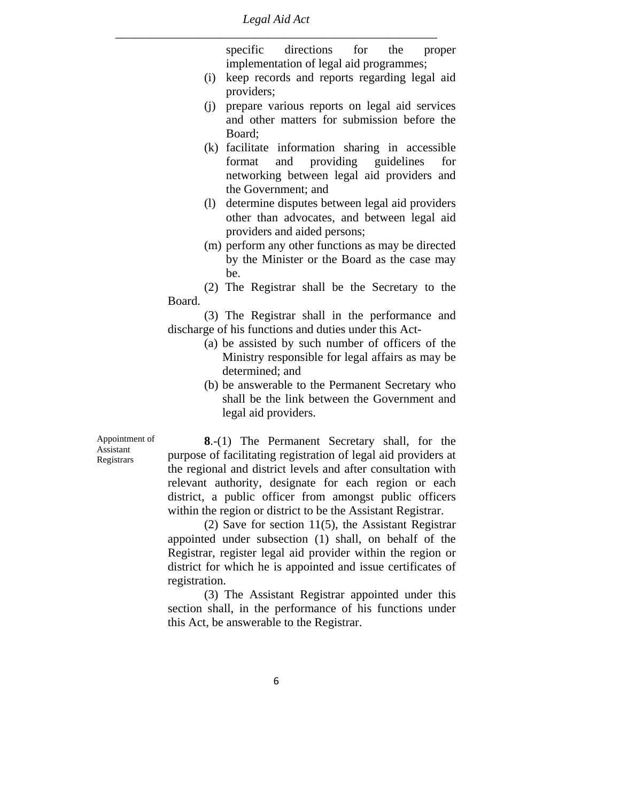specific directions for the proper implementation of legal aid programmes;

- (i) keep records and reports regarding legal aid providers;
- (j) prepare various reports on legal aid services and other matters for submission before the Board;
- (k) facilitate information sharing in accessible format and providing guidelines for networking between legal aid providers and the Government; and
- (l) determine disputes between legal aid providers other than advocates, and between legal aid providers and aided persons;
- (m) perform any other functions as may be directed by the Minister or the Board as the case may be.

 (2) The Registrar shall be the Secretary to the Board.

 (3) The Registrar shall in the performance and discharge of his functions and duties under this Act-

- (a) be assisted by such number of officers of the Ministry responsible for legal affairs as may be determined; and
- (b) be answerable to the Permanent Secretary who shall be the link between the Government and legal aid providers.

Appointment of Assistant Registrars

**8**.-(1) The Permanent Secretary shall, for the purpose of facilitating registration of legal aid providers at the regional and district levels and after consultation with relevant authority, designate for each region or each district, a public officer from amongst public officers within the region or district to be the Assistant Registrar.

 (2) Save for section 11(5), the Assistant Registrar appointed under subsection (1) shall, on behalf of the Registrar, register legal aid provider within the region or district for which he is appointed and issue certificates of registration.

 (3) The Assistant Registrar appointed under this section shall, in the performance of his functions under this Act, be answerable to the Registrar.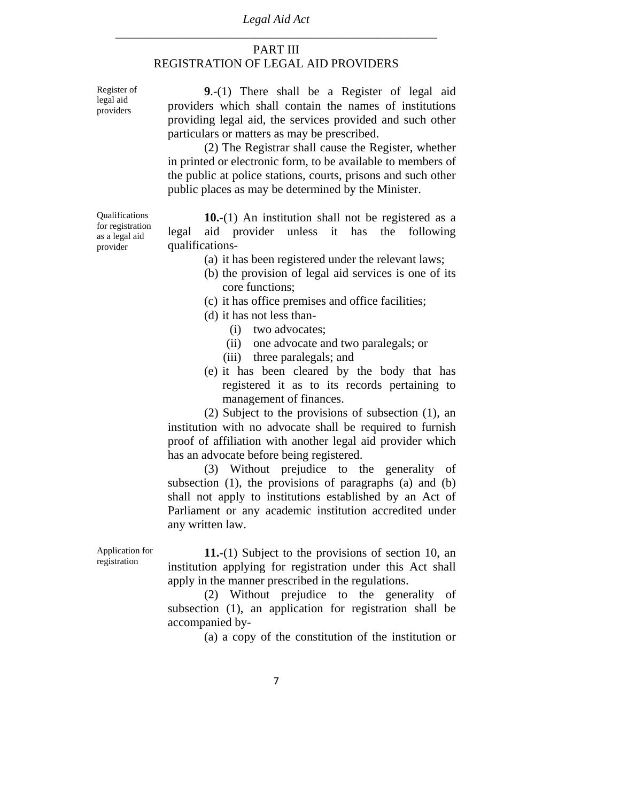#### PART III REGISTRATION OF LEGAL AID PROVIDERS

Register of legal aid providers

**9**.-(1) There shall be a Register of legal aid providers which shall contain the names of institutions providing legal aid, the services provided and such other particulars or matters as may be prescribed.

 (2) The Registrar shall cause the Register, whether in printed or electronic form, to be available to members of the public at police stations, courts, prisons and such other public places as may be determined by the Minister.

Qualifications for registration as a legal aid provider

**10.**-(1) An institution shall not be registered as a legal aid provider unless it has the following qualifications-

- (a) it has been registered under the relevant laws;
- (b) the provision of legal aid services is one of its core functions;
- (c) it has office premises and office facilities;
- (d) it has not less than-
	- (i) two advocates;
	- (ii) one advocate and two paralegals; or
	- (iii) three paralegals; and
- (e) it has been cleared by the body that has registered it as to its records pertaining to management of finances.

 (2) Subject to the provisions of subsection (1), an institution with no advocate shall be required to furnish proof of affiliation with another legal aid provider which has an advocate before being registered.

 (3) Without prejudice to the generality of subsection (1), the provisions of paragraphs (a) and (b) shall not apply to institutions established by an Act of Parliament or any academic institution accredited under any written law.

Application for registration

**11.**-(1) Subject to the provisions of section 10, an institution applying for registration under this Act shall apply in the manner prescribed in the regulations.

 (2) Without prejudice to the generality of subsection (1), an application for registration shall be accompanied by-

(a) a copy of the constitution of the institution or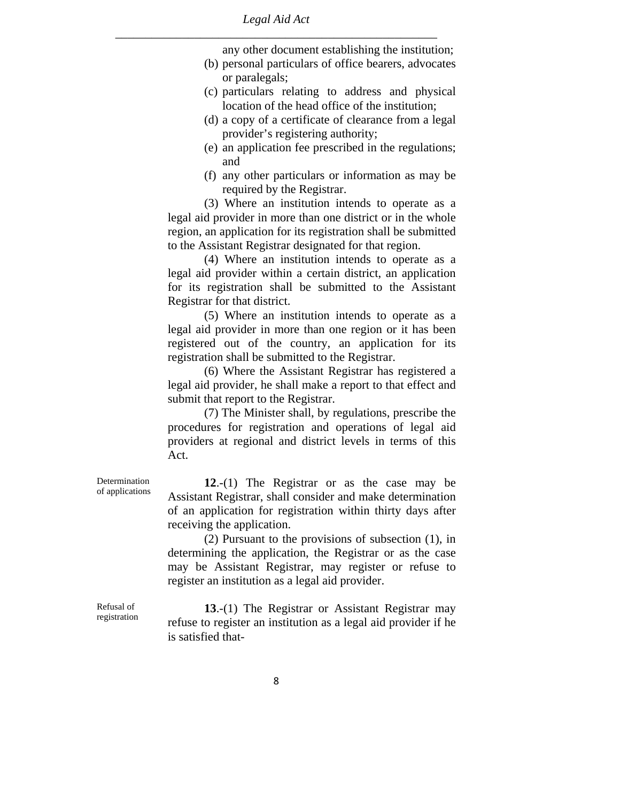> any other document establishing the institution; (b) personal particulars of office bearers, advocates

- or paralegals;
- (c) particulars relating to address and physical location of the head office of the institution;
- (d) a copy of a certificate of clearance from a legal provider's registering authority;
- (e) an application fee prescribed in the regulations; and
- (f) any other particulars or information as may be required by the Registrar.

 (3) Where an institution intends to operate as a legal aid provider in more than one district or in the whole region, an application for its registration shall be submitted to the Assistant Registrar designated for that region.

 (4) Where an institution intends to operate as a legal aid provider within a certain district, an application for its registration shall be submitted to the Assistant Registrar for that district.

 (5) Where an institution intends to operate as a legal aid provider in more than one region or it has been registered out of the country, an application for its registration shall be submitted to the Registrar.

 (6) Where the Assistant Registrar has registered a legal aid provider, he shall make a report to that effect and submit that report to the Registrar.

 (7) The Minister shall, by regulations, prescribe the procedures for registration and operations of legal aid providers at regional and district levels in terms of this Act.

**12**.-(1) The Registrar or as the case may be Assistant Registrar, shall consider and make determination of an application for registration within thirty days after receiving the application.

 (2) Pursuant to the provisions of subsection (1), in determining the application, the Registrar or as the case may be Assistant Registrar, may register or refuse to register an institution as a legal aid provider.

Refusal of registration

Determination of applications

> **13**.-(1) The Registrar or Assistant Registrar may refuse to register an institution as a legal aid provider if he is satisfied that-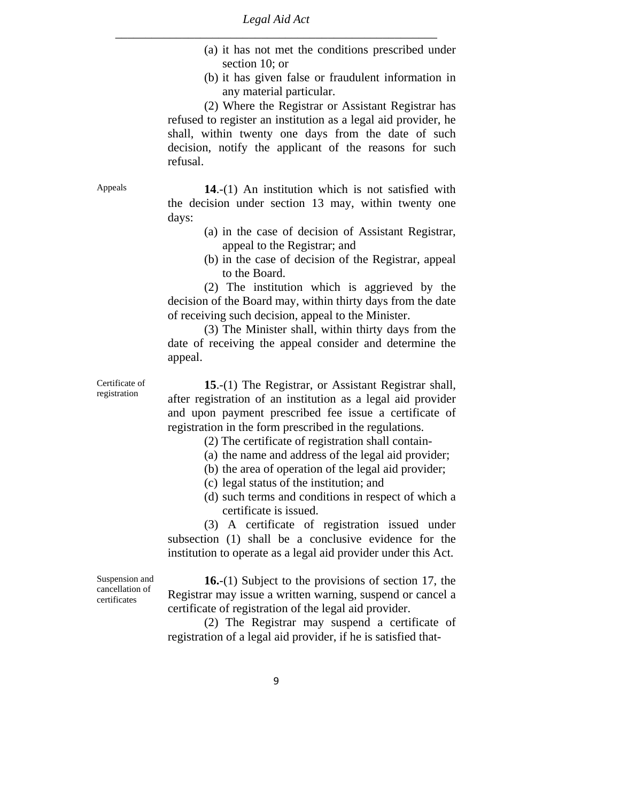- (a) it has not met the conditions prescribed under section 10; or
- (b) it has given false or fraudulent information in any material particular.

 (2) Where the Registrar or Assistant Registrar has refused to register an institution as a legal aid provider, he shall, within twenty one days from the date of such decision, notify the applicant of the reasons for such refusal.

Appeals **14.-(1)** An institution which is not satisfied with the decision under section 13 may, within twenty one days:

- (a) in the case of decision of Assistant Registrar, appeal to the Registrar; and
- (b) in the case of decision of the Registrar, appeal to the Board.

 (2) The institution which is aggrieved by the decision of the Board may, within thirty days from the date of receiving such decision, appeal to the Minister.

 (3) The Minister shall, within thirty days from the date of receiving the appeal consider and determine the appeal.

Certificate of registration

**15**.-(1) The Registrar, or Assistant Registrar shall, after registration of an institution as a legal aid provider and upon payment prescribed fee issue a certificate of registration in the form prescribed in the regulations.

(2) The certificate of registration shall contain-

- (a) the name and address of the legal aid provider;
- (b) the area of operation of the legal aid provider;
- (c) legal status of the institution; and
- (d) such terms and conditions in respect of which a certificate is issued.

 (3) A certificate of registration issued under subsection (1) shall be a conclusive evidence for the institution to operate as a legal aid provider under this Act.

Suspension and cancellation of certificates

**16.**-(1) Subject to the provisions of section 17, the Registrar may issue a written warning, suspend or cancel a certificate of registration of the legal aid provider.

 (2) The Registrar may suspend a certificate of registration of a legal aid provider, if he is satisfied that-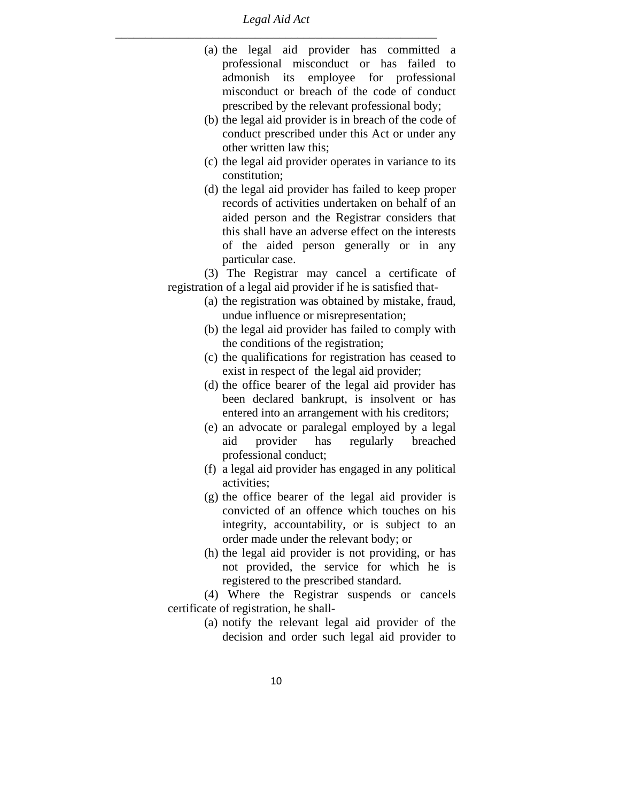- (a) the legal aid provider has committed a professional misconduct or has failed to admonish its employee for professional misconduct or breach of the code of conduct prescribed by the relevant professional body;
- (b) the legal aid provider is in breach of the code of conduct prescribed under this Act or under any other written law this;
- (c) the legal aid provider operates in variance to its constitution;
- (d) the legal aid provider has failed to keep proper records of activities undertaken on behalf of an aided person and the Registrar considers that this shall have an adverse effect on the interests of the aided person generally or in any particular case.

 (3) The Registrar may cancel a certificate of registration of a legal aid provider if he is satisfied that-

- (a) the registration was obtained by mistake, fraud, undue influence or misrepresentation;
- (b) the legal aid provider has failed to comply with the conditions of the registration;
- (c) the qualifications for registration has ceased to exist in respect of the legal aid provider;
- (d) the office bearer of the legal aid provider has been declared bankrupt, is insolvent or has entered into an arrangement with his creditors;
- (e) an advocate or paralegal employed by a legal aid provider has regularly breached professional conduct;
- (f) a legal aid provider has engaged in any political activities;
- (g) the office bearer of the legal aid provider is convicted of an offence which touches on his integrity, accountability, or is subject to an order made under the relevant body; or
- (h) the legal aid provider is not providing, or has not provided, the service for which he is registered to the prescribed standard.

 (4) Where the Registrar suspends or cancels certificate of registration, he shall-

> (a) notify the relevant legal aid provider of the decision and order such legal aid provider to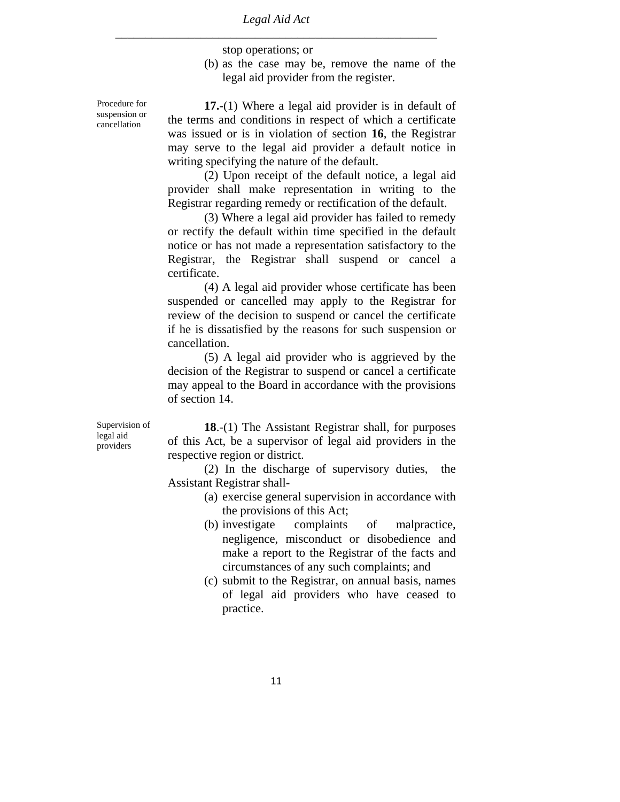stop operations; or

(b) as the case may be, remove the name of the legal aid provider from the register.

**17.**-(1) Where a legal aid provider is in default of the terms and conditions in respect of which a certificate was issued or is in violation of section **16**, the Registrar may serve to the legal aid provider a default notice in writing specifying the nature of the default.

 (2) Upon receipt of the default notice, a legal aid provider shall make representation in writing to the Registrar regarding remedy or rectification of the default.

 (3) Where a legal aid provider has failed to remedy or rectify the default within time specified in the default notice or has not made a representation satisfactory to the Registrar, the Registrar shall suspend or cancel a certificate.

 (4) A legal aid provider whose certificate has been suspended or cancelled may apply to the Registrar for review of the decision to suspend or cancel the certificate if he is dissatisfied by the reasons for such suspension or cancellation.

 (5) A legal aid provider who is aggrieved by the decision of the Registrar to suspend or cancel a certificate may appeal to the Board in accordance with the provisions of section 14.

Supervision of legal aid providers

**18**.-(1) The Assistant Registrar shall, for purposes of this Act, be a supervisor of legal aid providers in the respective region or district.

 (2) In the discharge of supervisory duties, the Assistant Registrar shall-

- (a) exercise general supervision in accordance with the provisions of this Act;
- (b) investigate complaints of malpractice, negligence, misconduct or disobedience and make a report to the Registrar of the facts and circumstances of any such complaints; and
- (c) submit to the Registrar, on annual basis, names of legal aid providers who have ceased to practice.

Procedure for suspension or cancellation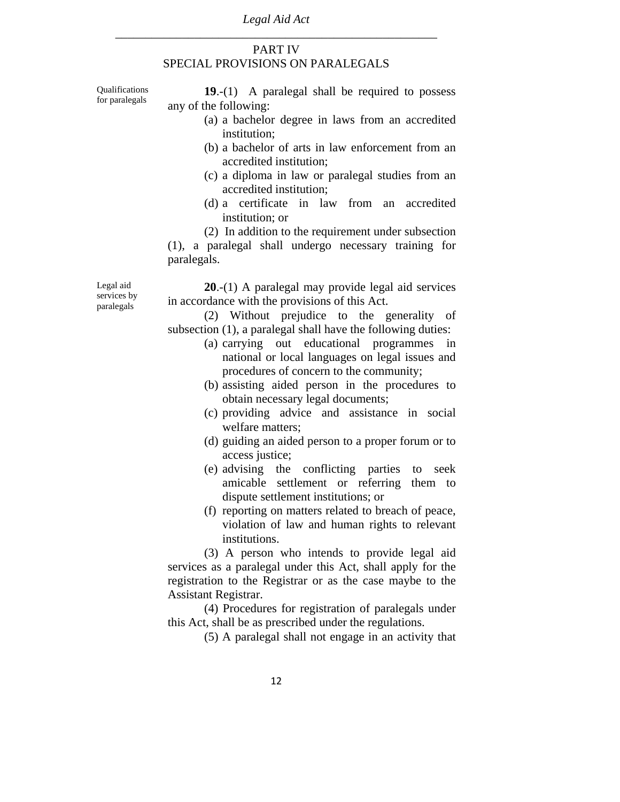#### PART IV SPECIAL PROVISIONS ON PARALEGALS

Qualifications for paralegals

**19**.-(1) A paralegal shall be required to possess any of the following:

- (a) a bachelor degree in laws from an accredited institution;
- (b) a bachelor of arts in law enforcement from an accredited institution;
- (c) a diploma in law or paralegal studies from an accredited institution;
- (d) a certificate in law from an accredited institution; or

 (2) In addition to the requirement under subsection (1), a paralegal shall undergo necessary training for paralegals.

Legal aid services by paralegals

**20**.-(1) A paralegal may provide legal aid services in accordance with the provisions of this Act.

 (2) Without prejudice to the generality of subsection (1), a paralegal shall have the following duties:

- (a) carrying out educational programmes in national or local languages on legal issues and procedures of concern to the community;
- (b) assisting aided person in the procedures to obtain necessary legal documents;
- (c) providing advice and assistance in social welfare matters;
- (d) guiding an aided person to a proper forum or to access justice;
- (e) advising the conflicting parties to seek amicable settlement or referring them to dispute settlement institutions; or
- (f) reporting on matters related to breach of peace, violation of law and human rights to relevant institutions.

 (3) A person who intends to provide legal aid services as a paralegal under this Act, shall apply for the registration to the Registrar or as the case maybe to the Assistant Registrar.

 (4) Procedures for registration of paralegals under this Act, shall be as prescribed under the regulations.

(5) A paralegal shall not engage in an activity that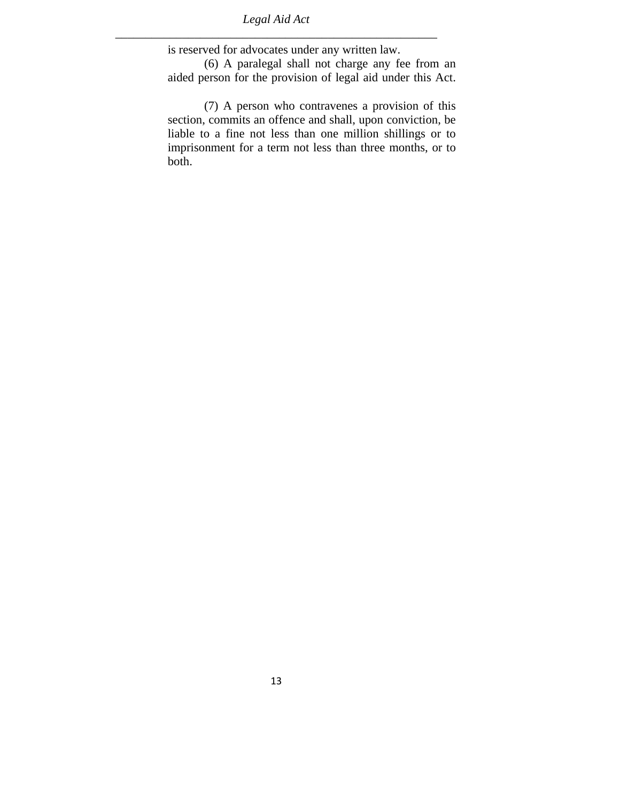is reserved for advocates under any written law.

 (6) A paralegal shall not charge any fee from an aided person for the provision of legal aid under this Act.

 (7) A person who contravenes a provision of this section, commits an offence and shall, upon conviction, be liable to a fine not less than one million shillings or to imprisonment for a term not less than three months, or to both.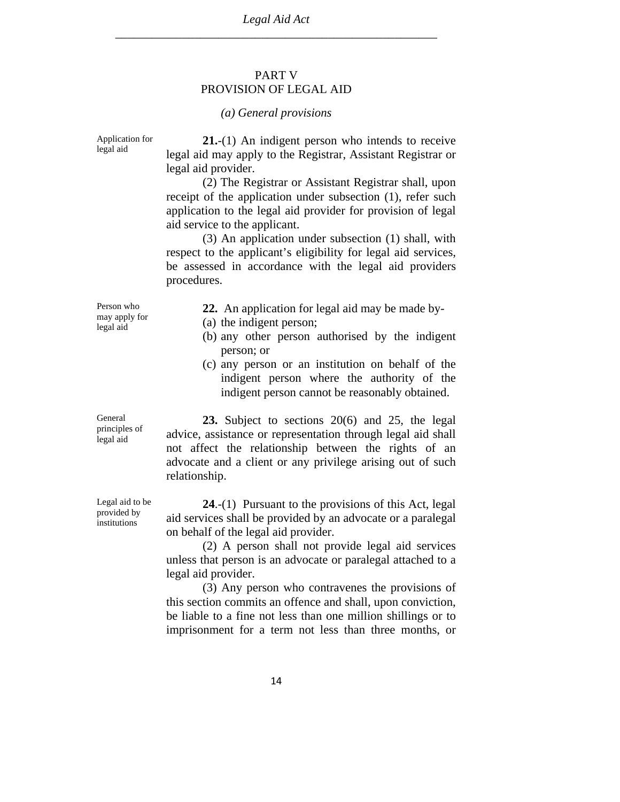#### PART V PROVISION OF LEGAL AID

#### *(a) General provisions*

Application for legal aid **21.**-(1) An indigent person who intends to receive legal aid may apply to the Registrar, Assistant Registrar or legal aid provider. (2) The Registrar or Assistant Registrar shall, upon receipt of the application under subsection (1), refer such application to the legal aid provider for provision of legal aid service to the applicant. (3) An application under subsection (1) shall, with respect to the applicant's eligibility for legal aid services, be assessed in accordance with the legal aid providers procedures. Person who may apply for legal aid **22.** An application for legal aid may be made by- (a) the indigent person; (b) any other person authorised by the indigent person; or (c) any person or an institution on behalf of the indigent person where the authority of the indigent person cannot be reasonably obtained. General

**23.** Subject to sections 20(6) and 25, the legal advice, assistance or representation through legal aid shall not affect the relationship between the rights of an advocate and a client or any privilege arising out of such relationship.

**24**.-(1) Pursuant to the provisions of this Act, legal aid services shall be provided by an advocate or a paralegal on behalf of the legal aid provider.

 (2) A person shall not provide legal aid services unless that person is an advocate or paralegal attached to a legal aid provider.

 (3) Any person who contravenes the provisions of this section commits an offence and shall, upon conviction, be liable to a fine not less than one million shillings or to imprisonment for a term not less than three months, or

principles of legal aid

Legal aid to be provided by institutions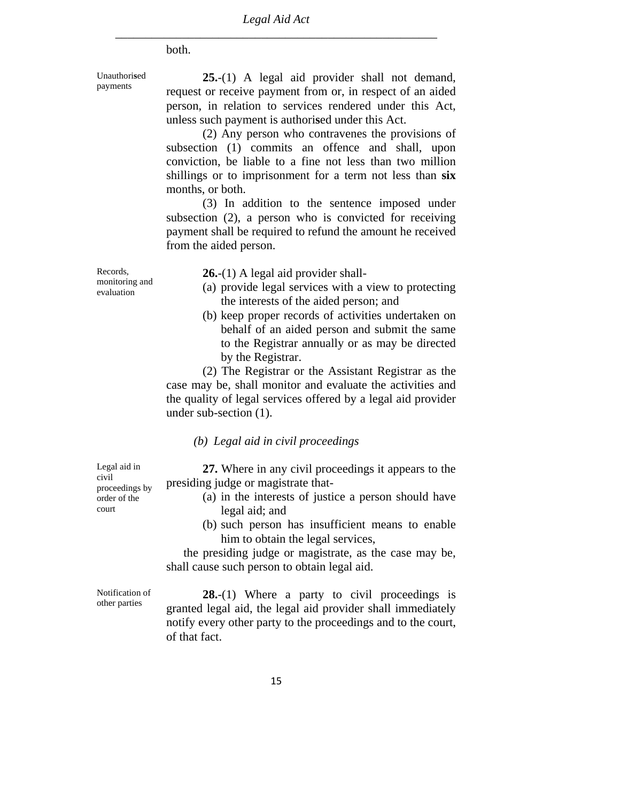both.

Unauthori**s**ed payments

**25.**-(1) A legal aid provider shall not demand, request or receive payment from or, in respect of an aided person, in relation to services rendered under this Act, unless such payment is authori**s**ed under this Act.

 (2) Any person who contravenes the provisions of subsection (1) commits an offence and shall, upon conviction, be liable to a fine not less than two million shillings or to imprisonment for a term not less than **six** months, or both.

 (3) In addition to the sentence imposed under subsection (2), a person who is convicted for receiving payment shall be required to refund the amount he received from the aided person.

Records, monitoring and evaluation

**26.**-(1) A legal aid provider shall-

- (a) provide legal services with a view to protecting the interests of the aided person; and
- (b) keep proper records of activities undertaken on behalf of an aided person and submit the same to the Registrar annually or as may be directed by the Registrar.

 (2) The Registrar or the Assistant Registrar as the case may be, shall monitor and evaluate the activities and the quality of legal services offered by a legal aid provider under sub-section (1).

#### *(b) Legal aid in civil proceedings*

**27.** Where in any civil proceedings it appears to the presiding judge or magistrate that-

- (a) in the interests of justice a person should have legal aid; and
- (b) such person has insufficient means to enable him to obtain the legal services,

the presiding judge or magistrate, as the case may be, shall cause such person to obtain legal aid.

Notification of other parties

Legal aid in civil

proceedings by order of the court

> **28.**-(1) Where a party to civil proceedings is granted legal aid, the legal aid provider shall immediately notify every other party to the proceedings and to the court, of that fact.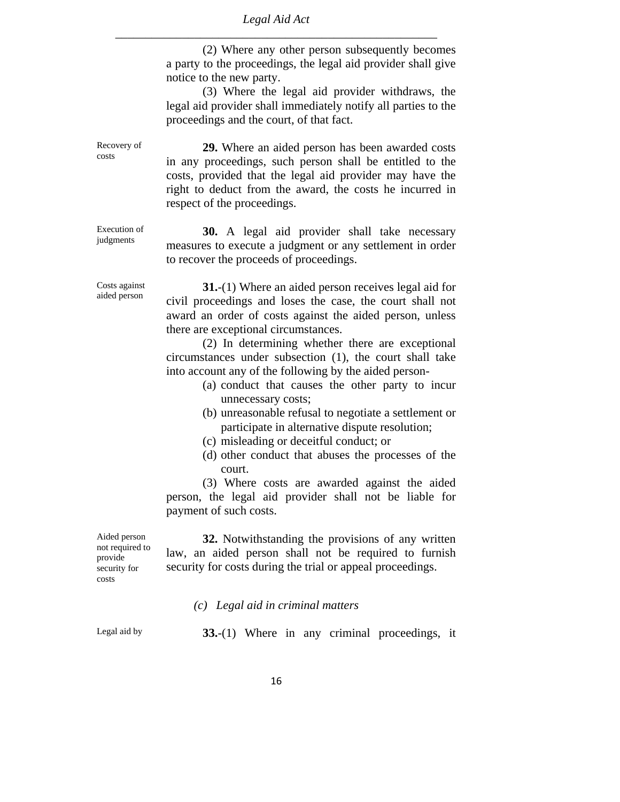(2) Where any other person subsequently becomes a party to the proceedings, the legal aid provider shall give notice to the new party.

 (3) Where the legal aid provider withdraws, the legal aid provider shall immediately notify all parties to the proceedings and the court, of that fact.

**29.** Where an aided person has been awarded costs in any proceedings, such person shall be entitled to the costs, provided that the legal aid provider may have the right to deduct from the award, the costs he incurred in respect of the proceedings.

**30.** A legal aid provider shall take necessary measures to execute a judgment or any settlement in order to recover the proceeds of proceedings.

**31.**-(1) Where an aided person receives legal aid for civil proceedings and loses the case, the court shall not award an order of costs against the aided person, unless there are exceptional circumstances.

 (2) In determining whether there are exceptional circumstances under subsection (1), the court shall take into account any of the following by the aided person-

- (a) conduct that causes the other party to incur unnecessary costs;
- (b) unreasonable refusal to negotiate a settlement or participate in alternative dispute resolution;
- (c) misleading or deceitful conduct; or
- (d) other conduct that abuses the processes of the court.

 (3) Where costs are awarded against the aided person, the legal aid provider shall not be liable for payment of such costs.

**32.** Notwithstanding the provisions of any written law, an aided person shall not be required to furnish security for costs during the trial or appeal proceedings.

*(c) Legal aid in criminal matters*

Aided person not required to provide security for costs

Legal aid by **33.**-(1) Where in any criminal proceedings, it

Costs against aided person

Execution of judgments

Recovery of costs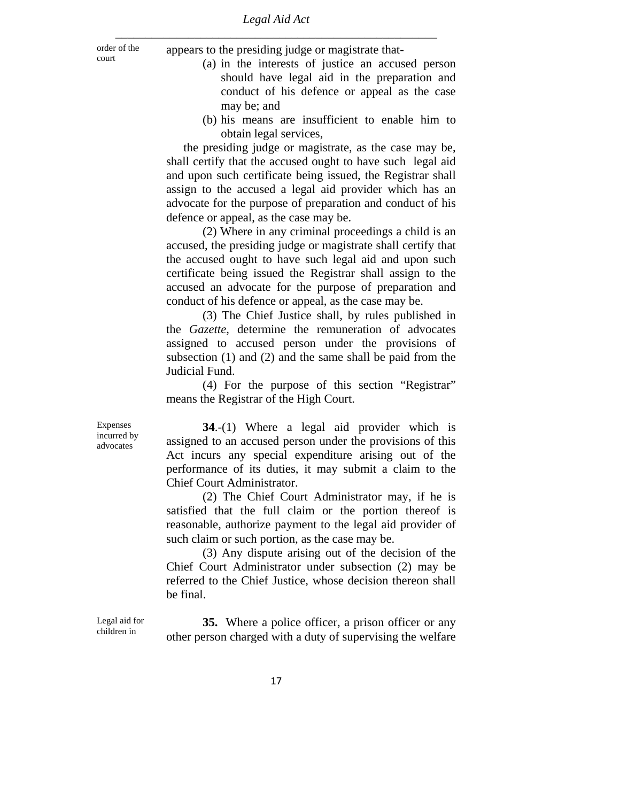order of the

order of the appears to the presiding judge or magistrate that-

- (a) in the interests of justice an accused person should have legal aid in the preparation and conduct of his defence or appeal as the case may be; and
- (b) his means are insufficient to enable him to obtain legal services,

the presiding judge or magistrate, as the case may be, shall certify that the accused ought to have such legal aid and upon such certificate being issued, the Registrar shall assign to the accused a legal aid provider which has an advocate for the purpose of preparation and conduct of his defence or appeal, as the case may be.

 (2) Where in any criminal proceedings a child is an accused, the presiding judge or magistrate shall certify that the accused ought to have such legal aid and upon such certificate being issued the Registrar shall assign to the accused an advocate for the purpose of preparation and conduct of his defence or appeal, as the case may be.

 (3) The Chief Justice shall, by rules published in the *Gazette*, determine the remuneration of advocates assigned to accused person under the provisions of subsection (1) and (2) and the same shall be paid from the Judicial Fund.

 (4) For the purpose of this section "Registrar" means the Registrar of the High Court.

**34**.-(1) Where a legal aid provider which is assigned to an accused person under the provisions of this Act incurs any special expenditure arising out of the performance of its duties, it may submit a claim to the Chief Court Administrator.

 (2) The Chief Court Administrator may, if he is satisfied that the full claim or the portion thereof is reasonable, authorize payment to the legal aid provider of such claim or such portion, as the case may be.

 (3) Any dispute arising out of the decision of the Chief Court Administrator under subsection (2) may be referred to the Chief Justice, whose decision thereon shall be final.

**35.** Where a police officer, a prison officer or any other person charged with a duty of supervising the welfare

Expenses incurred by advocates

Legal aid for children in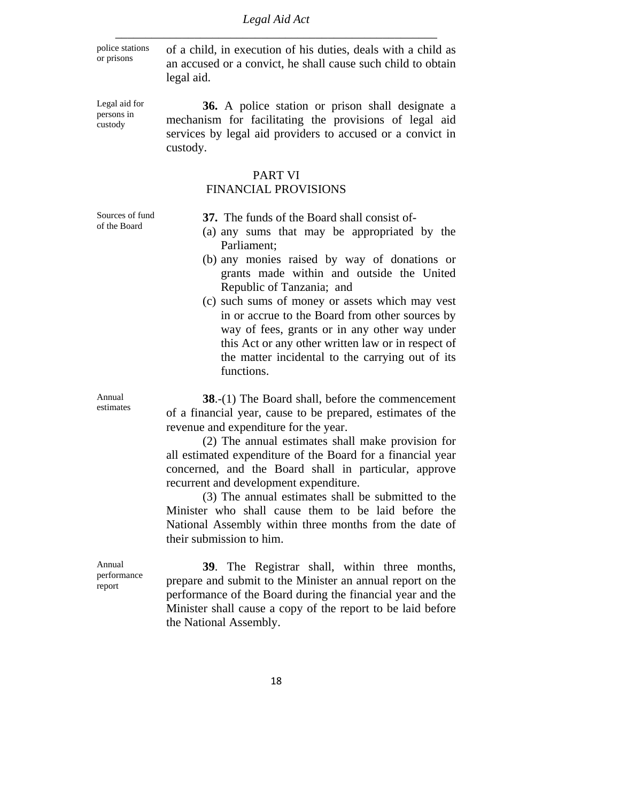police stations

police stations of a child, in execution of his duties, deals with a child as or prisons an accused or a convict, he shall cause such child to obtain legal aid.

Legal aid for persons in custody

**36.** A police station or prison shall designate a mechanism for facilitating the provisions of legal aid services by legal aid providers to accused or a convict in custody.

#### PART VI

#### FINANCIAL PROVISIONS

Sources of fund of the Board

 **37.** The funds of the Board shall consist of-

- (a) any sums that may be appropriated by the Parliament;
- (b) any monies raised by way of donations or grants made within and outside the United Republic of Tanzania; and
- (c) such sums of money or assets which may vest in or accrue to the Board from other sources by way of fees, grants or in any other way under this Act or any other written law or in respect of the matter incidental to the carrying out of its functions.

**38**.-(1) The Board shall, before the commencement of a financial year, cause to be prepared, estimates of the revenue and expenditure for the year.

 (2) The annual estimates shall make provision for all estimated expenditure of the Board for a financial year concerned, and the Board shall in particular, approve recurrent and development expenditure.

 (3) The annual estimates shall be submitted to the Minister who shall cause them to be laid before the National Assembly within three months from the date of their submission to him.

Annual performance report

**39**. The Registrar shall, within three months, prepare and submit to the Minister an annual report on the performance of the Board during the financial year and the Minister shall cause a copy of the report to be laid before the National Assembly.

Annual estimates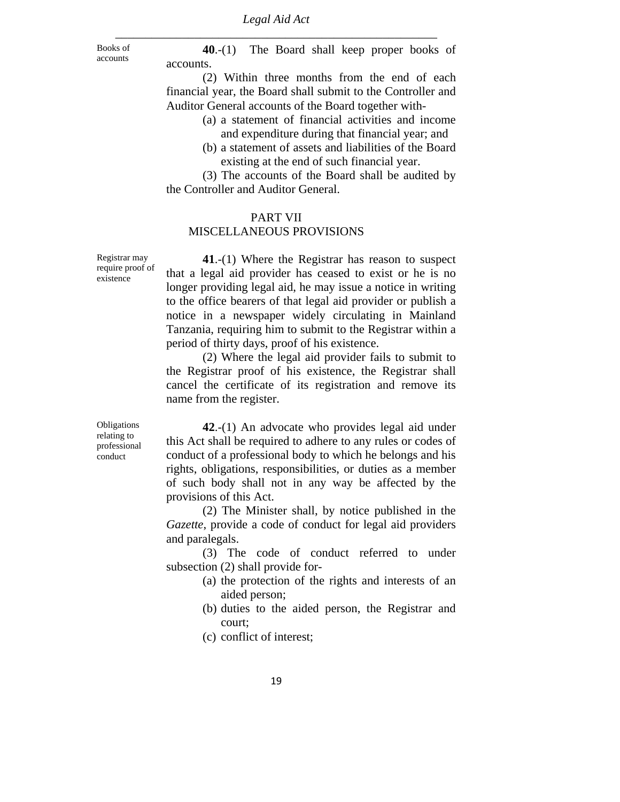**40**.-(1) The Board shall keep proper books of accounts.

 (2) Within three months from the end of each financial year, the Board shall submit to the Controller and Auditor General accounts of the Board together with-

- (a) a statement of financial activities and income and expenditure during that financial year; and
- (b) a statement of assets and liabilities of the Board existing at the end of such financial year.

 (3) The accounts of the Board shall be audited by the Controller and Auditor General.

#### PART VII

#### MISCELLANEOUS PROVISIONS

Registrar may require proof of existence

Books of accounts

> **41**.-(1) Where the Registrar has reason to suspect that a legal aid provider has ceased to exist or he is no longer providing legal aid, he may issue a notice in writing to the office bearers of that legal aid provider or publish a notice in a newspaper widely circulating in Mainland Tanzania, requiring him to submit to the Registrar within a period of thirty days, proof of his existence.

> (2) Where the legal aid provider fails to submit to the Registrar proof of his existence, the Registrar shall cancel the certificate of its registration and remove its name from the register.

Obligations relating to professional conduct

**42**.-(1) An advocate who provides legal aid under this Act shall be required to adhere to any rules or codes of conduct of a professional body to which he belongs and his rights, obligations, responsibilities, or duties as a member of such body shall not in any way be affected by the provisions of this Act.

 (2) The Minister shall, by notice published in the *Gazette*, provide a code of conduct for legal aid providers and paralegals.

 (3) The code of conduct referred to under subsection (2) shall provide for-

- (a) the protection of the rights and interests of an aided person;
- (b) duties to the aided person, the Registrar and court;
- (c) conflict of interest;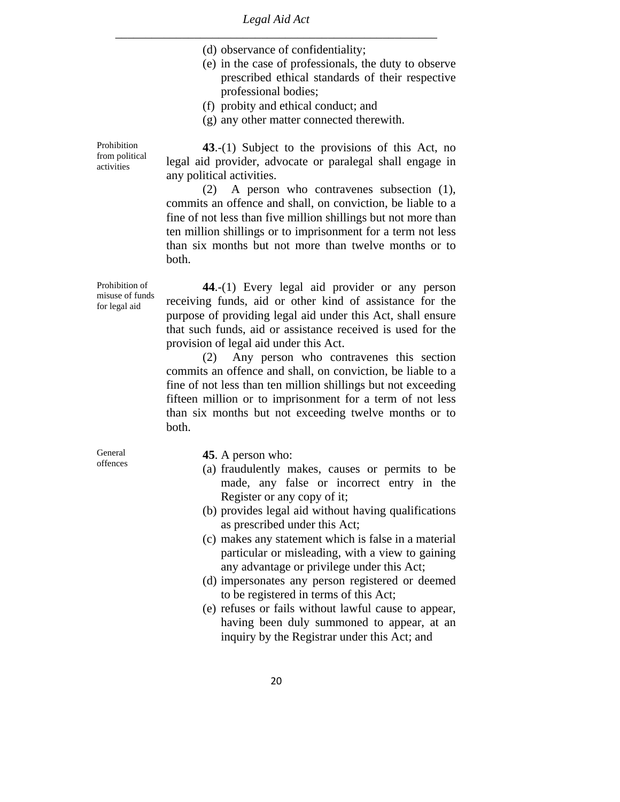- (d) observance of confidentiality;
- (e) in the case of professionals, the duty to observe prescribed ethical standards of their respective professional bodies;
- (f) probity and ethical conduct; and
- (g) any other matter connected therewith.

**43**.-(1) Subject to the provisions of this Act, no legal aid provider, advocate or paralegal shall engage in any political activities.

 (2) A person who contravenes subsection (1), commits an offence and shall, on conviction, be liable to a fine of not less than five million shillings but not more than ten million shillings or to imprisonment for a term not less than six months but not more than twelve months or to both.

Prohibition of misuse of funds for legal aid

Prohibition from political activities

> **44**.-(1) Every legal aid provider or any person receiving funds, aid or other kind of assistance for the purpose of providing legal aid under this Act, shall ensure that such funds, aid or assistance received is used for the provision of legal aid under this Act.

> (2) Any person who contravenes this section commits an offence and shall, on conviction, be liable to a fine of not less than ten million shillings but not exceeding fifteen million or to imprisonment for a term of not less than six months but not exceeding twelve months or to both.

General offences

**45**. A person who:

- (a) fraudulently makes, causes or permits to be made, any false or incorrect entry in the Register or any copy of it;
- (b) provides legal aid without having qualifications as prescribed under this Act;
- (c) makes any statement which is false in a material particular or misleading, with a view to gaining any advantage or privilege under this Act;
- (d) impersonates any person registered or deemed to be registered in terms of this Act;
- (e) refuses or fails without lawful cause to appear, having been duly summoned to appear, at an inquiry by the Registrar under this Act; and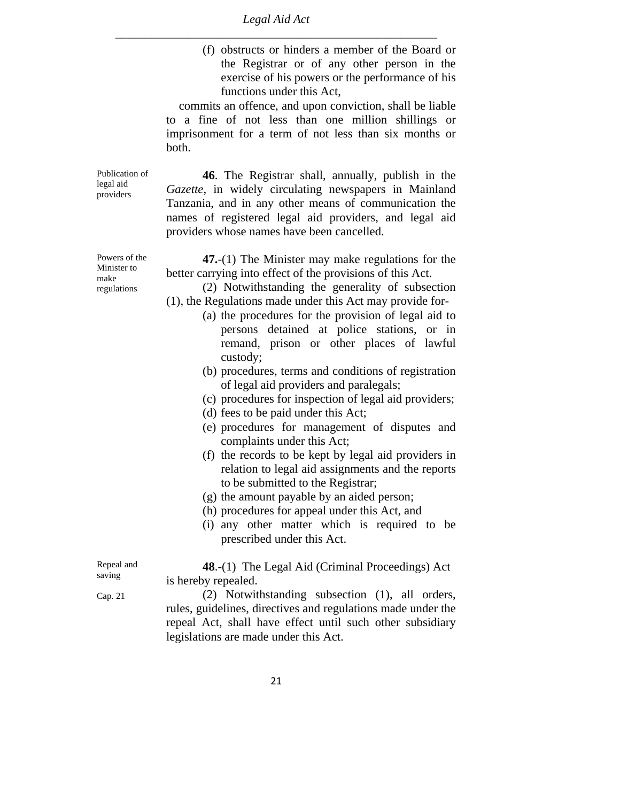> (f) obstructs or hinders a member of the Board or the Registrar or of any other person in the exercise of his powers or the performance of his functions under this Act,

 commits an offence, and upon conviction, shall be liable to a fine of not less than one million shillings or imprisonment for a term of not less than six months or both.

**46**. The Registrar shall, annually, publish in the *Gazette*, in widely circulating newspapers in Mainland Tanzania, and in any other means of communication the names of registered legal aid providers, and legal aid providers whose names have been cancelled.

**47.**-(1) The Minister may make regulations for the better carrying into effect of the provisions of this Act.

 (2) Notwithstanding the generality of subsection (1), the Regulations made under this Act may provide for-

- (a) the procedures for the provision of legal aid to persons detained at police stations, or in remand, prison or other places of lawful custody;
- (b) procedures, terms and conditions of registration of legal aid providers and paralegals;
- (c) procedures for inspection of legal aid providers;
- (d) fees to be paid under this Act;
- (e) procedures for management of disputes and complaints under this Act;
- (f) the records to be kept by legal aid providers in relation to legal aid assignments and the reports to be submitted to the Registrar;
- (g) the amount payable by an aided person;
- (h) procedures for appeal under this Act, and
- (i) any other matter which is required to be prescribed under this Act.

**48**.-(1) The Legal Aid (Criminal Proceedings) Act is hereby repealed.

 (2) Notwithstanding subsection (1), all orders, rules, guidelines, directives and regulations made under the repeal Act, shall have effect until such other subsidiary legislations are made under this Act.

Powers of the Minister to make regulations

Publication of legal aid providers

Repeal and saving

Cap. 21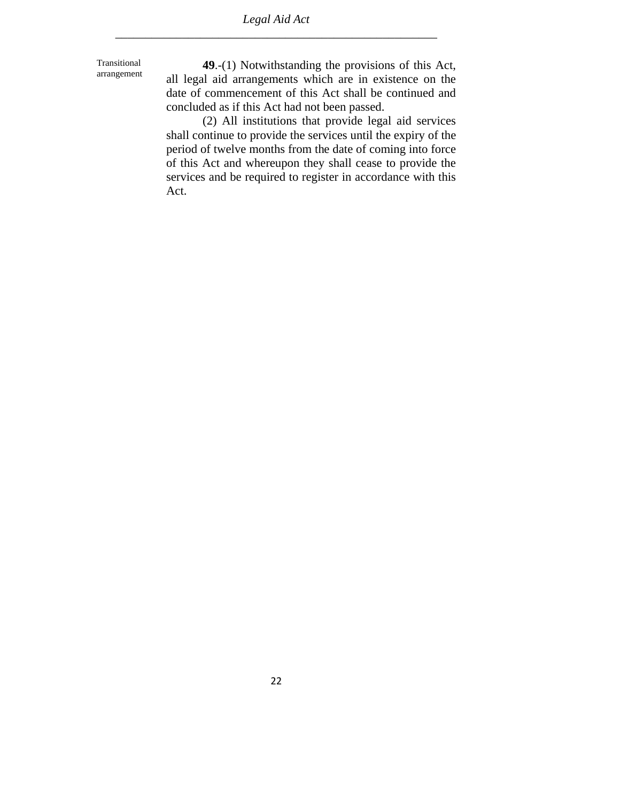Transitional arrangement

**49**.-(1) Notwithstanding the provisions of this Act, all legal aid arrangements which are in existence on the date of commencement of this Act shall be continued and concluded as if this Act had not been passed.

 (2) All institutions that provide legal aid services shall continue to provide the services until the expiry of the period of twelve months from the date of coming into force of this Act and whereupon they shall cease to provide the services and be required to register in accordance with this Act.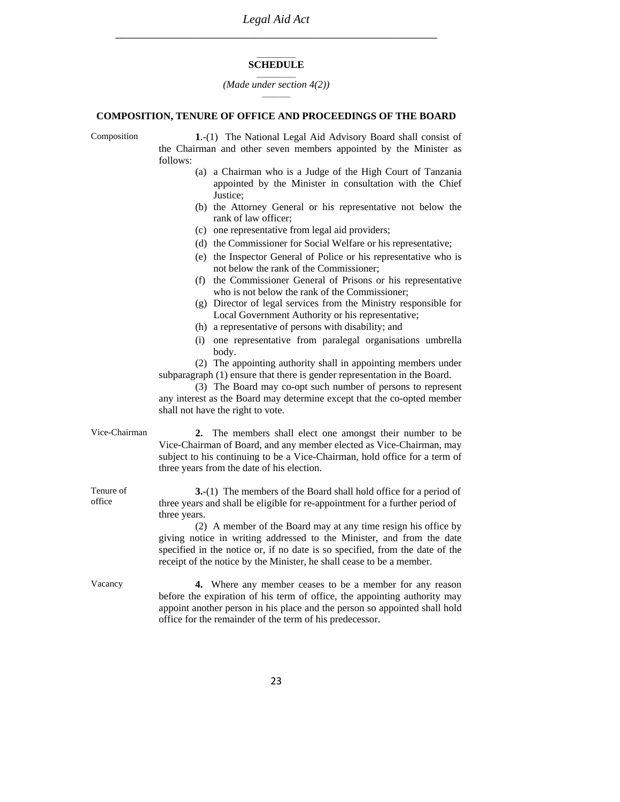#### $\overline{\phantom{a}}$ **SCHEDULE**   $\overline{\phantom{a}}$

*(Made under section 4(2))*  $\overline{\phantom{a}}$ 

#### **COMPOSITION, TENURE OF OFFICE AND PROCEEDINGS OF THE BOARD**

Composition **1**.-(1) The National Legal Aid Advisory Board shall consist of the Chairman and other seven members appointed by the Minister as follows:

- (a) a Chairman who is a Judge of the High Court of Tanzania appointed by the Minister in consultation with the Chief Justice;
- (b) the Attorney General or his representative not below the rank of law officer;
- (c) one representative from legal aid providers;
- (d) the Commissioner for Social Welfare or his representative;
- (e) the Inspector General of Police or his representative who is not below the rank of the Commissioner;
- (f) the Commissioner General of Prisons or his representative who is not below the rank of the Commissioner;
- (g) Director of legal services from the Ministry responsible for Local Government Authority or his representative;
- (h) a representative of persons with disability; and
- (i) one representative from paralegal organisations umbrella body.

 (2) The appointing authority shall in appointing members under subparagraph (1) ensure that there is gender representation in the Board.

 (3) The Board may co-opt such number of persons to represent any interest as the Board may determine except that the co-opted member shall not have the right to vote.

| Vice-Chairman       | 2. The members shall elect one amongst their number to be<br>Vice-Chairman of Board, and any member elected as Vice-Chairman, may<br>subject to his continuing to be a Vice-Chairman, hold office for a term of<br>three years from the date of his election.                                                                                                                                                                                                                |
|---------------------|------------------------------------------------------------------------------------------------------------------------------------------------------------------------------------------------------------------------------------------------------------------------------------------------------------------------------------------------------------------------------------------------------------------------------------------------------------------------------|
| Tenure of<br>office | <b>3.</b> (1) The members of the Board shall hold office for a period of<br>three years and shall be eligible for re-appointment for a further period of<br>three years.<br>(2) A member of the Board may at any time resign his office by<br>giving notice in writing addressed to the Minister, and from the date<br>specified in the notice or, if no date is so specified, from the date of the<br>receipt of the notice by the Minister, he shall cease to be a member. |

Vacancy **4.** Where any member ceases to be a member for any reason before the expiration of his term of office, the appointing authority may appoint another person in his place and the person so appointed shall hold office for the remainder of the term of his predecessor.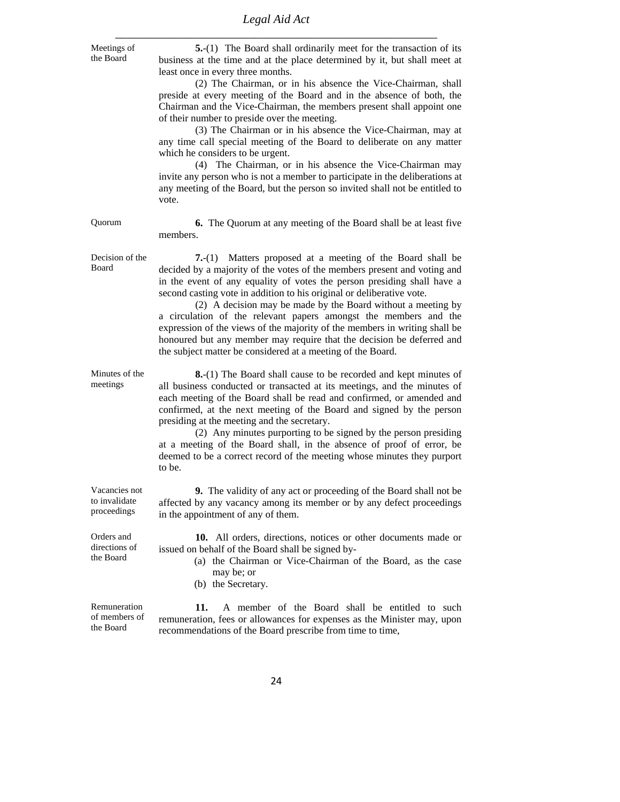# *Legal Aid Act*

| Meetings of<br>the Board                      | 5.-(1) The Board shall ordinarily meet for the transaction of its<br>business at the time and at the place determined by it, but shall meet at<br>least once in every three months.                                                                                                                                                                                                                                                                                                                                                                                                                                                                      |
|-----------------------------------------------|----------------------------------------------------------------------------------------------------------------------------------------------------------------------------------------------------------------------------------------------------------------------------------------------------------------------------------------------------------------------------------------------------------------------------------------------------------------------------------------------------------------------------------------------------------------------------------------------------------------------------------------------------------|
|                                               | (2) The Chairman, or in his absence the Vice-Chairman, shall<br>preside at every meeting of the Board and in the absence of both, the<br>Chairman and the Vice-Chairman, the members present shall appoint one<br>of their number to preside over the meeting.                                                                                                                                                                                                                                                                                                                                                                                           |
|                                               | (3) The Chairman or in his absence the Vice-Chairman, may at<br>any time call special meeting of the Board to deliberate on any matter<br>which he considers to be urgent.<br>(4) The Chairman, or in his absence the Vice-Chairman may                                                                                                                                                                                                                                                                                                                                                                                                                  |
|                                               | invite any person who is not a member to participate in the deliberations at<br>any meeting of the Board, but the person so invited shall not be entitled to<br>vote.                                                                                                                                                                                                                                                                                                                                                                                                                                                                                    |
| Quorum                                        | 6. The Quorum at any meeting of the Board shall be at least five<br>members.                                                                                                                                                                                                                                                                                                                                                                                                                                                                                                                                                                             |
| Decision of the<br>Board                      | Matters proposed at a meeting of the Board shall be<br>$7-(1)$<br>decided by a majority of the votes of the members present and voting and<br>in the event of any equality of votes the person presiding shall have a<br>second casting vote in addition to his original or deliberative vote.<br>(2) A decision may be made by the Board without a meeting by<br>a circulation of the relevant papers amongst the members and the<br>expression of the views of the majority of the members in writing shall be<br>honoured but any member may require that the decision be deferred and<br>the subject matter be considered at a meeting of the Board. |
| Minutes of the<br>meetings                    | 8.-(1) The Board shall cause to be recorded and kept minutes of<br>all business conducted or transacted at its meetings, and the minutes of<br>each meeting of the Board shall be read and confirmed, or amended and<br>confirmed, at the next meeting of the Board and signed by the person<br>presiding at the meeting and the secretary.<br>(2) Any minutes purporting to be signed by the person presiding<br>at a meeting of the Board shall, in the absence of proof of error, be<br>deemed to be a correct record of the meeting whose minutes they purport<br>to be.                                                                             |
| Vacancies not<br>to invalidate<br>proceedings | 9. The validity of any act or proceeding of the Board shall not be<br>affected by any vacancy among its member or by any defect proceedings<br>in the appointment of any of them.                                                                                                                                                                                                                                                                                                                                                                                                                                                                        |
| Orders and<br>directions of<br>the Board      | 10. All orders, directions, notices or other documents made or<br>issued on behalf of the Board shall be signed by-<br>(a) the Chairman or Vice-Chairman of the Board, as the case<br>may be; or<br>(b) the Secretary.                                                                                                                                                                                                                                                                                                                                                                                                                                   |
| Remuneration<br>of members of<br>the Board    | A member of the Board shall be entitled to such<br>11.<br>remuneration, fees or allowances for expenses as the Minister may, upon<br>recommendations of the Board prescribe from time to time,                                                                                                                                                                                                                                                                                                                                                                                                                                                           |
|                                               | 24                                                                                                                                                                                                                                                                                                                                                                                                                                                                                                                                                                                                                                                       |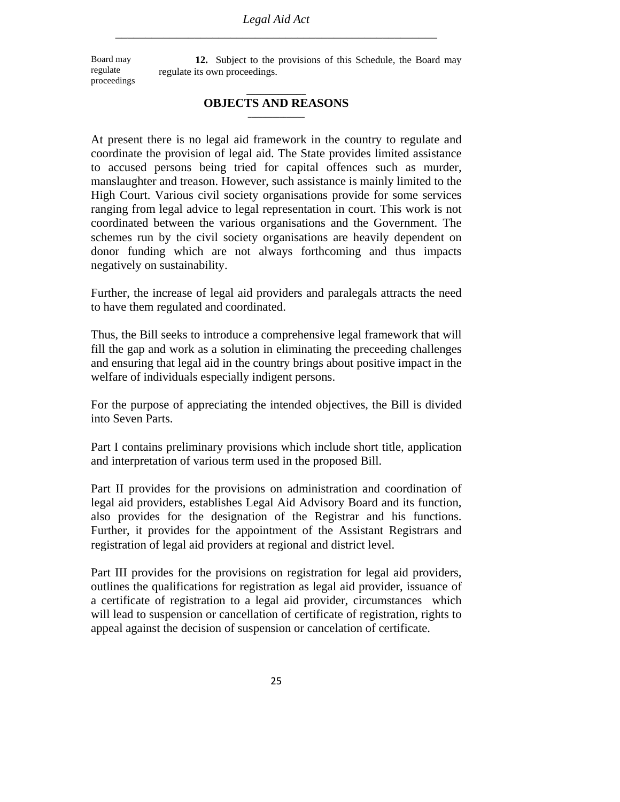Board may regulate proceedings

**12.** Subject to the provisions of this Schedule, the Board may regulate its own proceedings.

#### **\_\_\_\_\_\_\_\_\_\_\_\_\_ OBJECTS AND REASONS \_\_\_\_\_\_\_\_\_\_\_\_\_\_\_\_**

At present there is no legal aid framework in the country to regulate and coordinate the provision of legal aid. The State provides limited assistance to accused persons being tried for capital offences such as murder, manslaughter and treason. However, such assistance is mainly limited to the High Court. Various civil society organisations provide for some services ranging from legal advice to legal representation in court. This work is not coordinated between the various organisations and the Government. The schemes run by the civil society organisations are heavily dependent on donor funding which are not always forthcoming and thus impacts negatively on sustainability.

Further, the increase of legal aid providers and paralegals attracts the need to have them regulated and coordinated.

Thus, the Bill seeks to introduce a comprehensive legal framework that will fill the gap and work as a solution in eliminating the preceeding challenges and ensuring that legal aid in the country brings about positive impact in the welfare of individuals especially indigent persons.

For the purpose of appreciating the intended objectives, the Bill is divided into Seven Parts.

Part I contains preliminary provisions which include short title, application and interpretation of various term used in the proposed Bill.

Part II provides for the provisions on administration and coordination of legal aid providers, establishes Legal Aid Advisory Board and its function, also provides for the designation of the Registrar and his functions. Further, it provides for the appointment of the Assistant Registrars and registration of legal aid providers at regional and district level.

Part III provides for the provisions on registration for legal aid providers, outlines the qualifications for registration as legal aid provider, issuance of a certificate of registration to a legal aid provider, circumstances which will lead to suspension or cancellation of certificate of registration, rights to appeal against the decision of suspension or cancelation of certificate.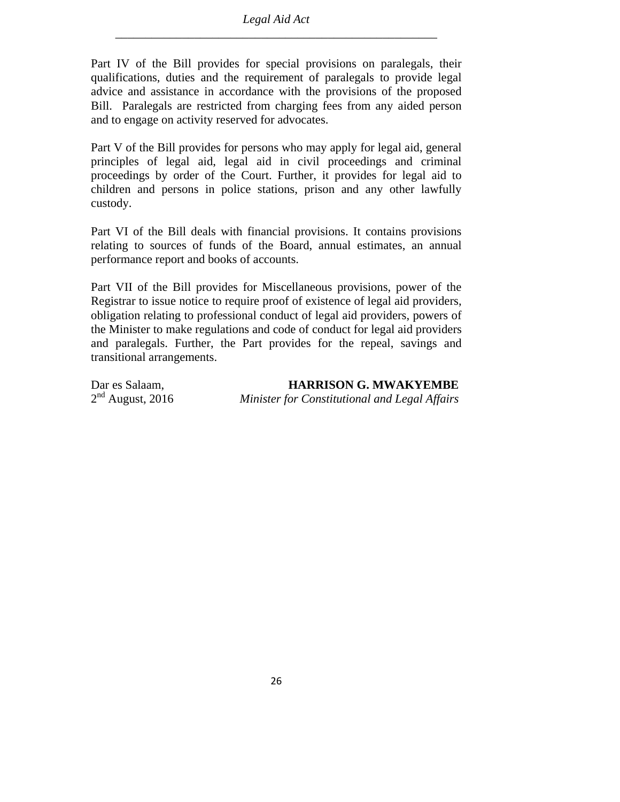Part IV of the Bill provides for special provisions on paralegals, their qualifications, duties and the requirement of paralegals to provide legal advice and assistance in accordance with the provisions of the proposed Bill. Paralegals are restricted from charging fees from any aided person and to engage on activity reserved for advocates.

Part V of the Bill provides for persons who may apply for legal aid, general principles of legal aid, legal aid in civil proceedings and criminal proceedings by order of the Court. Further, it provides for legal aid to children and persons in police stations, prison and any other lawfully custody.

Part VI of the Bill deals with financial provisions. It contains provisions relating to sources of funds of the Board, annual estimates, an annual performance report and books of accounts.

Part VII of the Bill provides for Miscellaneous provisions, power of the Registrar to issue notice to require proof of existence of legal aid providers, obligation relating to professional conduct of legal aid providers, powers of the Minister to make regulations and code of conduct for legal aid providers and paralegals. Further, the Part provides for the repeal, savings and transitional arrangements.

| Dar es Salaam,     | <b>HARRISON G. MWAKYEMBE</b>                  |
|--------------------|-----------------------------------------------|
| $2nd$ August, 2016 | Minister for Constitutional and Legal Affairs |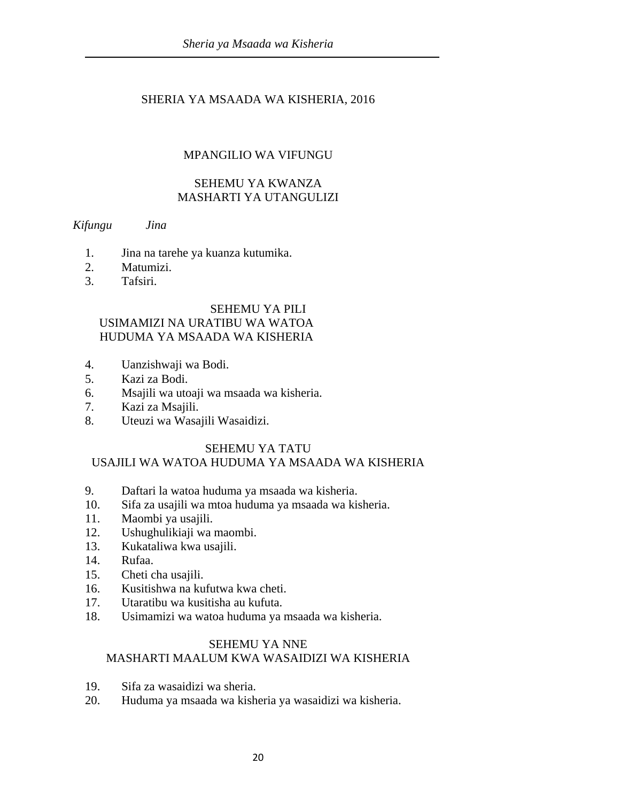## SHERIA YA MSAADA WA KISHERIA, 2016

## MPANGILIO WA VIFUNGU

#### SEHEMU YA KWANZA MASHARTI YA UTANGULIZI

#### *Kifungu Jina*

- 1. Jina na tarehe ya kuanza kutumika.
- 2. Matumizi.
- 3. Tafsiri.

#### SEHEMU YA PILI

## USIMAMIZI NA URATIBU WA WATOA HUDUMA YA MSAADA WA KISHERIA

- 4. Uanzishwaji wa Bodi.
- 5. Kazi za Bodi.
- 6. Msajili wa utoaji wa msaada wa kisheria.
- 7. Kazi za Msajili.
- 8. Uteuzi wa Wasajili Wasaidizi.

#### SEHEMU YA TATU

## USAJILI WA WATOA HUDUMA YA MSAADA WA KISHERIA

- 9. Daftari la watoa huduma ya msaada wa kisheria.
- 10. Sifa za usajili wa mtoa huduma ya msaada wa kisheria.
- 11. Maombi ya usajili.
- 12. Ushughulikiaji wa maombi.
- 13. Kukataliwa kwa usajili.
- 14. Rufaa.
- 15. Cheti cha usajili.
- 16. Kusitishwa na kufutwa kwa cheti.
- 17. Utaratibu wa kusitisha au kufuta.
- 18. Usimamizi wa watoa huduma ya msaada wa kisheria.

#### SEHEMU YA NNE

#### MASHARTI MAALUM KWA WASAIDIZI WA KISHERIA

- 19. Sifa za wasaidizi wa sheria.
- 20. Huduma ya msaada wa kisheria ya wasaidizi wa kisheria.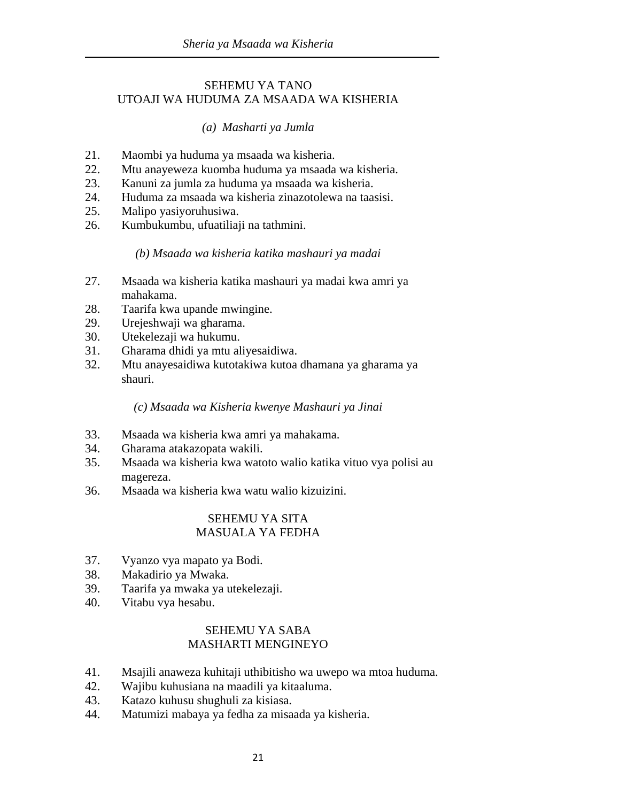#### SEHEMU YA TANO UTOAJI WA HUDUMA ZA MSAADA WA KISHERIA

## *(a) Masharti ya Jumla*

- 21. Maombi ya huduma ya msaada wa kisheria.
- 22. Mtu anayeweza kuomba huduma ya msaada wa kisheria.
- 23. Kanuni za jumla za huduma ya msaada wa kisheria.
- 24. Huduma za msaada wa kisheria zinazotolewa na taasisi.
- 25. Malipo yasiyoruhusiwa.
- 26. Kumbukumbu, ufuatiliaji na tathmini.

#### *(b) Msaada wa kisheria katika mashauri ya madai*

- 27. Msaada wa kisheria katika mashauri ya madai kwa amri ya mahakama.
- 28. Taarifa kwa upande mwingine.
- 29. Urejeshwaji wa gharama.
- 30. Utekelezaji wa hukumu.
- 31. Gharama dhidi ya mtu aliyesaidiwa.
- 32. Mtu anayesaidiwa kutotakiwa kutoa dhamana ya gharama ya shauri.

#### *(c) Msaada wa Kisheria kwenye Mashauri ya Jinai*

- 33. Msaada wa kisheria kwa amri ya mahakama.
- 34. Gharama atakazopata wakili.
- 35. Msaada wa kisheria kwa watoto walio katika vituo vya polisi au magereza.
- 36. Msaada wa kisheria kwa watu walio kizuizini.

### SEHEMU YA SITA MASUALA YA FEDHA

- 37. Vyanzo vya mapato ya Bodi.
- 38. Makadirio ya Mwaka.
- 39. Taarifa ya mwaka ya utekelezaji.
- 40. Vitabu vya hesabu.

## SEHEMU YA SABA MASHARTI MENGINEYO

- 41. Msajili anaweza kuhitaji uthibitisho wa uwepo wa mtoa huduma.
- 42. Wajibu kuhusiana na maadili ya kitaaluma.
- 43. Katazo kuhusu shughuli za kisiasa.
- 44. Matumizi mabaya ya fedha za misaada ya kisheria.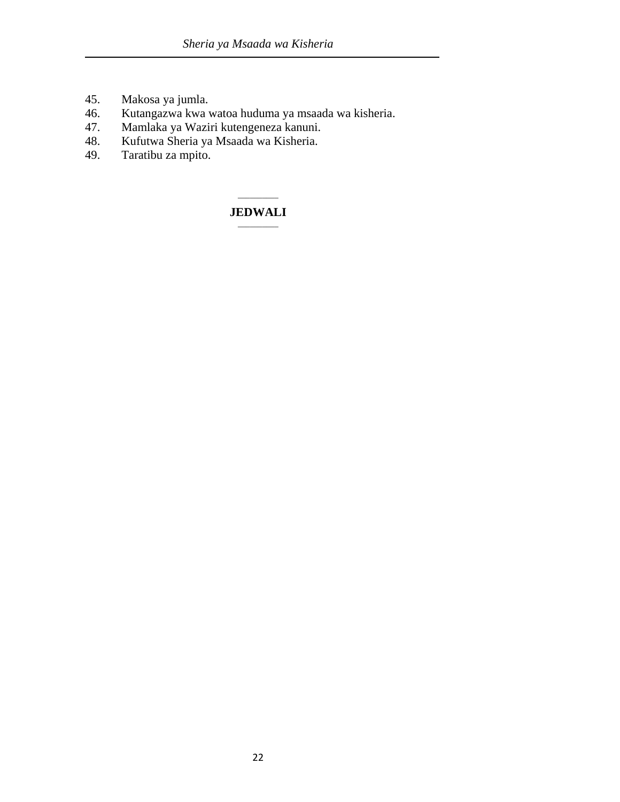- 45. Makosa ya jumla.
- 46. Kutangazwa kwa watoa huduma ya msaada wa kisheria.
- 47. Mamlaka ya Waziri kutengeneza kanuni.
- 48. Kufutwa Sheria ya Msaada wa Kisheria.
- Taratibu za mpito.

#### $\overline{\phantom{a}}$ **JEDWALI**   $\overline{\phantom{a}}$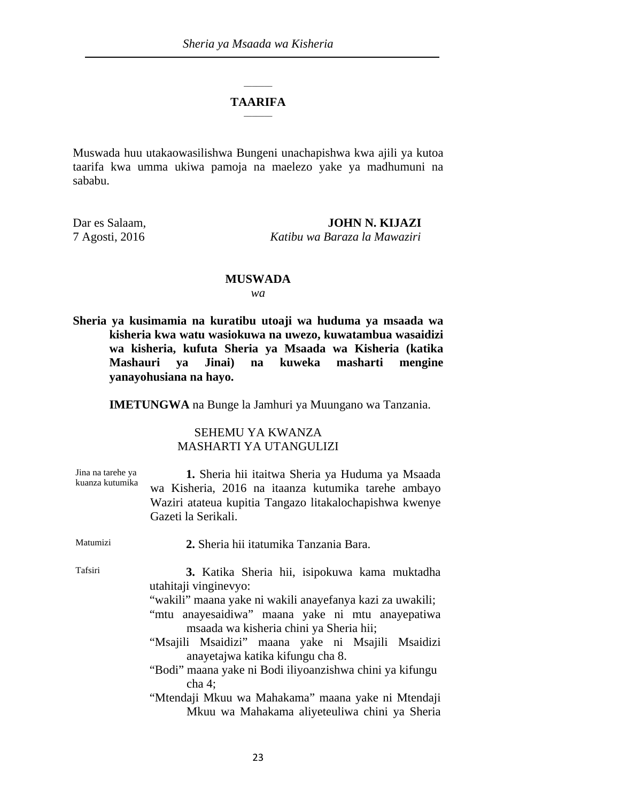#### $\overline{\phantom{a}}$ **TAARIFA** \_\_\_\_\_\_\_

Muswada huu utakaowasilishwa Bungeni unachapishwa kwa ajili ya kutoa taarifa kwa umma ukiwa pamoja na maelezo yake ya madhumuni na sababu.

Dar es Salaam, **JOHN N. KIJAZI**  7 Agosti, 2016 *Katibu wa Baraza la Mawaziri*

#### **MUSWADA**

*wa*

**Sheria ya kusimamia na kuratibu utoaji wa huduma ya msaada wa kisheria kwa watu wasiokuwa na uwezo, kuwatambua wasaidizi wa kisheria, kufuta Sheria ya Msaada wa Kisheria (katika Mashauri ya Jinai) na kuweka masharti mengine yanayohusiana na hayo.** 

**IMETUNGWA** na Bunge la Jamhuri ya Muungano wa Tanzania.

#### SEHEMU YA KWANZA MASHARTI YA UTANGULIZI

| Jina na tarehe ya<br>kuanza kutumika | 1. Sheria hii itaitwa Sheria ya Huduma ya Msaada<br>wa Kisheria, 2016 na itaanza kutumika tarehe ambayo<br>Waziri atateua kupitia Tangazo litakalochapishwa kwenye<br>Gazeti la Serikali.                                                                                                                                                                                                                                                                                                                |
|--------------------------------------|----------------------------------------------------------------------------------------------------------------------------------------------------------------------------------------------------------------------------------------------------------------------------------------------------------------------------------------------------------------------------------------------------------------------------------------------------------------------------------------------------------|
| Matumizi                             | 2. Sheria hii itatumika Tanzania Bara.                                                                                                                                                                                                                                                                                                                                                                                                                                                                   |
| Tafsiri                              | 3. Katika Sheria hii, isipokuwa kama muktadha<br>utahitaji vinginevyo:<br>"wakili" maana yake ni wakili anayefanya kazi za uwakili;<br>"mtu anayesaidiwa" maana yake ni mtu anayepatiwa<br>msaada wa kisheria chini ya Sheria hii;<br>"Msajili Msaidizi" maana yake ni Msajili Msaidizi<br>anayetajwa katika kifungu cha 8.<br>"Bodi" maana yake ni Bodi iliyoanzishwa chini ya kifungu<br>cha 4:<br>"Mtendaji Mkuu wa Mahakama" maana yake ni Mtendaji<br>Mkuu wa Mahakama aliyeteuliwa chini ya Sheria |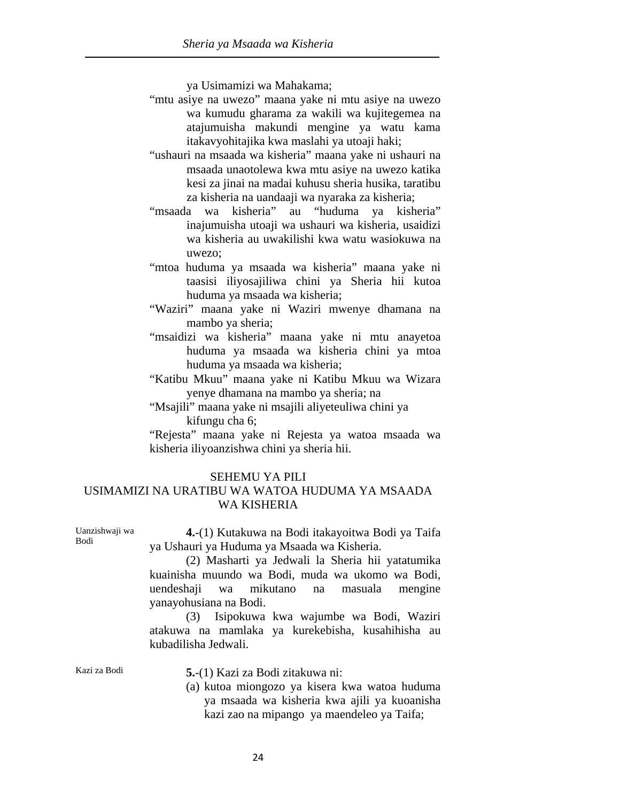ya Usimamizi wa Mahakama;

- "mtu asiye na uwezo" maana yake ni mtu asiye na uwezo wa kumudu gharama za wakili wa kujitegemea na atajumuisha makundi mengine ya watu kama itakavyohitajika kwa maslahi ya utoaji haki;
- "ushauri na msaada wa kisheria" maana yake ni ushauri na msaada unaotolewa kwa mtu asiye na uwezo katika kesi za jinai na madai kuhusu sheria husika, taratibu za kisheria na uandaaji wa nyaraka za kisheria;
- "msaada wa kisheria" au "huduma ya kisheria" inajumuisha utoaji wa ushauri wa kisheria, usaidizi wa kisheria au uwakilishi kwa watu wasiokuwa na uwezo;
- "mtoa huduma ya msaada wa kisheria" maana yake ni taasisi iliyosajiliwa chini ya Sheria hii kutoa huduma ya msaada wa kisheria;
- "Waziri" maana yake ni Waziri mwenye dhamana na mambo ya sheria;
- "msaidizi wa kisheria" maana yake ni mtu anayetoa huduma ya msaada wa kisheria chini ya mtoa huduma ya msaada wa kisheria;
- "Katibu Mkuu" maana yake ni Katibu Mkuu wa Wizara yenye dhamana na mambo ya sheria; na
- "Msajili" maana yake ni msajili aliyeteuliwa chini ya kifungu cha 6;

 "Rejesta" maana yake ni Rejesta ya watoa msaada wa kisheria iliyoanzishwa chini ya sheria hii.

## SEHEMU YA PILI USIMAMIZI NA URATIBU WA WATOA HUDUMA YA MSAADA WA KISHERIA

Uanzishwaji wa Bodi

**4.**-(1) Kutakuwa na Bodi itakayoitwa Bodi ya Taifa ya Ushauri ya Huduma ya Msaada wa Kisheria.

 (2) Masharti ya Jedwali la Sheria hii yatatumika kuainisha muundo wa Bodi, muda wa ukomo wa Bodi, uendeshaji wa mikutano na masuala mengine yanayohusiana na Bodi.

 (3) Isipokuwa kwa wajumbe wa Bodi, Waziri atakuwa na mamlaka ya kurekebisha, kusahihisha au kubadilisha Jedwali.

Kazi za Bodi **5.**-(1) Kazi za Bodi zitakuwa ni:

(a) kutoa miongozo ya kisera kwa watoa huduma ya msaada wa kisheria kwa ajili ya kuoanisha kazi zao na mipango ya maendeleo ya Taifa;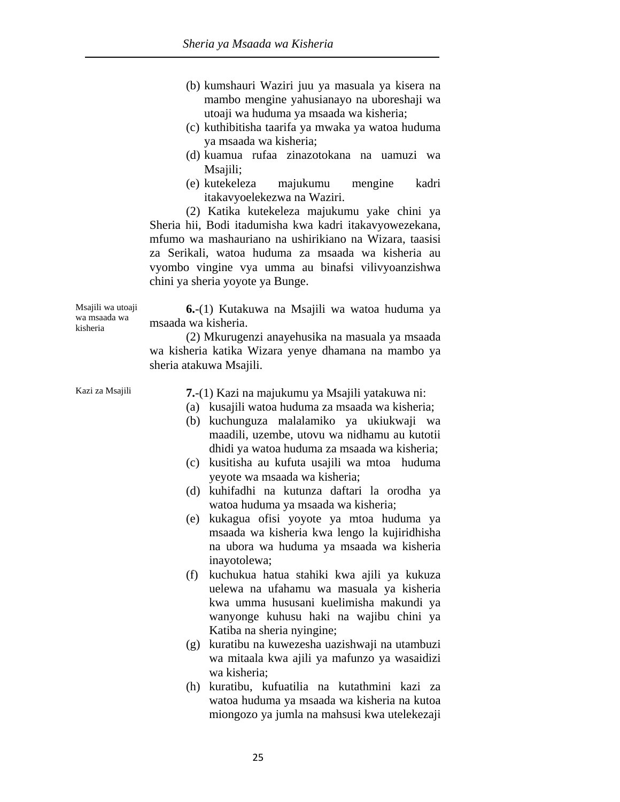- (b) kumshauri Waziri juu ya masuala ya kisera na mambo mengine yahusianayo na uboreshaji wa utoaji wa huduma ya msaada wa kisheria;
- (c) kuthibitisha taarifa ya mwaka ya watoa huduma ya msaada wa kisheria;
- (d) kuamua rufaa zinazotokana na uamuzi wa Msajili:
- (e) kutekeleza majukumu mengine kadri itakavyoelekezwa na Waziri.

 (2) Katika kutekeleza majukumu yake chini ya Sheria hii, Bodi itadumisha kwa kadri itakavyowezekana, mfumo wa mashauriano na ushirikiano na Wizara, taasisi za Serikali, watoa huduma za msaada wa kisheria au vyombo vingine vya umma au binafsi vilivyoanzishwa chini ya sheria yoyote ya Bunge.

Msajili wa utoaji wa msaada wa kisheria **6.**-(1) Kutakuwa na Msajili wa watoa huduma ya msaada wa kisheria.

 (2) Mkurugenzi anayehusika na masuala ya msaada wa kisheria katika Wizara yenye dhamana na mambo ya sheria atakuwa Msajili.

- Kazi za Msajili **7.**-(1) Kazi na majukumu ya Msajili yatakuwa ni:
	- (a) kusajili watoa huduma za msaada wa kisheria;
	- (b) kuchunguza malalamiko ya ukiukwaji wa maadili, uzembe, utovu wa nidhamu au kutotii dhidi ya watoa huduma za msaada wa kisheria;
	- (c) kusitisha au kufuta usajili wa mtoa huduma yeyote wa msaada wa kisheria;
	- (d) kuhifadhi na kutunza daftari la orodha ya watoa huduma ya msaada wa kisheria;
	- (e) kukagua ofisi yoyote ya mtoa huduma ya msaada wa kisheria kwa lengo la kujiridhisha na ubora wa huduma ya msaada wa kisheria inayotolewa;
	- (f) kuchukua hatua stahiki kwa ajili ya kukuza uelewa na ufahamu wa masuala ya kisheria kwa umma hususani kuelimisha makundi ya wanyonge kuhusu haki na wajibu chini ya Katiba na sheria nyingine;
	- (g) kuratibu na kuwezesha uazishwaji na utambuzi wa mitaala kwa ajili ya mafunzo ya wasaidizi wa kisheria;
	- (h) kuratibu, kufuatilia na kutathmini kazi za watoa huduma ya msaada wa kisheria na kutoa miongozo ya jumla na mahsusi kwa utelekezaji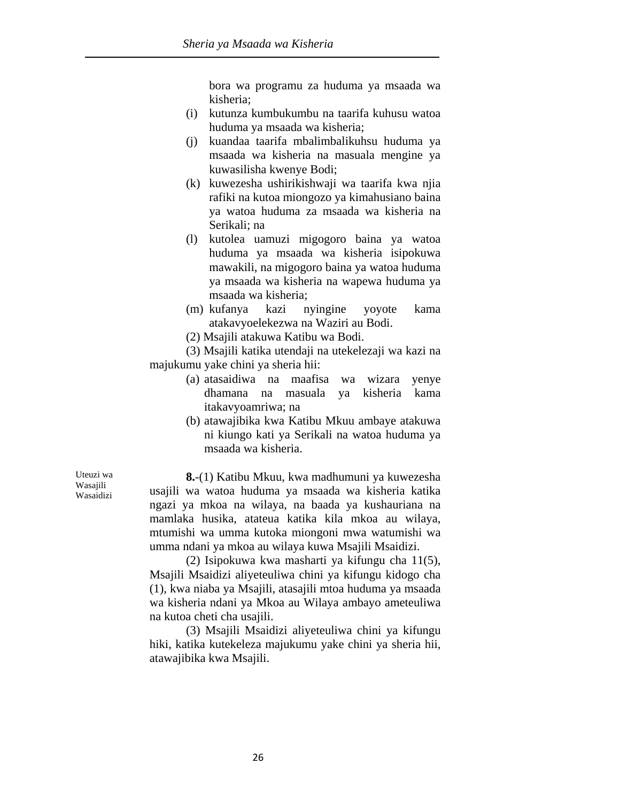bora wa programu za huduma ya msaada wa kisheria;

- (i) kutunza kumbukumbu na taarifa kuhusu watoa huduma ya msaada wa kisheria;
- (j) kuandaa taarifa mbalimbalikuhsu huduma ya msaada wa kisheria na masuala mengine ya kuwasilisha kwenye Bodi;
- (k) kuwezesha ushirikishwaji wa taarifa kwa njia rafiki na kutoa miongozo ya kimahusiano baina ya watoa huduma za msaada wa kisheria na Serikali; na
- (l) kutolea uamuzi migogoro baina ya watoa huduma ya msaada wa kisheria isipokuwa mawakili, na migogoro baina ya watoa huduma ya msaada wa kisheria na wapewa huduma ya msaada wa kisheria;
- (m) kufanya kazi nyingine yoyote kama atakavyoelekezwa na Waziri au Bodi.
- (2) Msajili atakuwa Katibu wa Bodi.

 (3) Msajili katika utendaji na utekelezaji wa kazi na majukumu yake chini ya sheria hii:

- (a) atasaidiwa na maafisa wa wizara yenye dhamana na masuala ya kisheria kama itakavyoamriwa; na
- (b) atawajibika kwa Katibu Mkuu ambaye atakuwa ni kiungo kati ya Serikali na watoa huduma ya msaada wa kisheria.

**8.**-(1) Katibu Mkuu, kwa madhumuni ya kuwezesha usajili wa watoa huduma ya msaada wa kisheria katika ngazi ya mkoa na wilaya, na baada ya kushauriana na mamlaka husika, atateua katika kila mkoa au wilaya, mtumishi wa umma kutoka miongoni mwa watumishi wa umma ndani ya mkoa au wilaya kuwa Msajili Msaidizi.

 (2) Isipokuwa kwa masharti ya kifungu cha 11(5), Msajili Msaidizi aliyeteuliwa chini ya kifungu kidogo cha (1), kwa niaba ya Msajili, atasajili mtoa huduma ya msaada wa kisheria ndani ya Mkoa au Wilaya ambayo ameteuliwa na kutoa cheti cha usajili.

 (3) Msajili Msaidizi aliyeteuliwa chini ya kifungu hiki, katika kutekeleza majukumu yake chini ya sheria hii, atawajibika kwa Msajili.

Uteuzi wa Wasajili Wasaidizi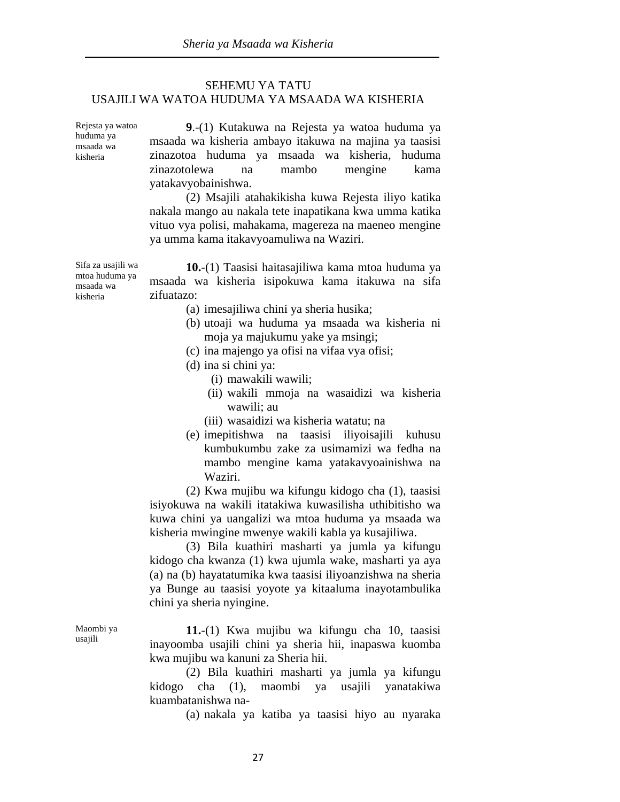#### SEHEMU YA TATU USAJILI WA WATOA HUDUMA YA MSAADA WA KISHERIA

Rejesta ya watoa huduma ya msaada wa kisheria

msaada wa kisheria

**9**.-(1) Kutakuwa na Rejesta ya watoa huduma ya msaada wa kisheria ambayo itakuwa na majina ya taasisi zinazotoa huduma ya msaada wa kisheria, huduma zinazotolewa na mambo mengine kama yatakavyobainishwa.

 (2) Msajili atahakikisha kuwa Rejesta iliyo katika nakala mango au nakala tete inapatikana kwa umma katika vituo vya polisi, mahakama, magereza na maeneo mengine ya umma kama itakavyoamuliwa na Waziri.

Sifa za usajili wa mtoa huduma ya **10.**-(1) Taasisi haitasajiliwa kama mtoa huduma ya msaada wa kisheria isipokuwa kama itakuwa na sifa zifuatazo:

- (a) imesajiliwa chini ya sheria husika;
- (b) utoaji wa huduma ya msaada wa kisheria ni moja ya majukumu yake ya msingi;
- (c) ina majengo ya ofisi na vifaa vya ofisi;
- (d) ina si chini ya:
	- (i) mawakili wawili;
	- (ii) wakili mmoja na wasaidizi wa kisheria wawili; au
	- (iii) wasaidizi wa kisheria watatu; na
- (e) imepitishwa na taasisi iliyoisajili kuhusu kumbukumbu zake za usimamizi wa fedha na mambo mengine kama yatakavyoainishwa na Waziri.

 (2) Kwa mujibu wa kifungu kidogo cha (1), taasisi isiyokuwa na wakili itatakiwa kuwasilisha uthibitisho wa kuwa chini ya uangalizi wa mtoa huduma ya msaada wa kisheria mwingine mwenye wakili kabla ya kusajiliwa.

 (3) Bila kuathiri masharti ya jumla ya kifungu kidogo cha kwanza (1) kwa ujumla wake, masharti ya aya (a) na (b) hayatatumika kwa taasisi iliyoanzishwa na sheria ya Bunge au taasisi yoyote ya kitaaluma inayotambulika chini ya sheria nyingine.

**11.**-(1) Kwa mujibu wa kifungu cha 10, taasisi inayoomba usajili chini ya sheria hii, inapaswa kuomba kwa mujibu wa kanuni za Sheria hii.

 (2) Bila kuathiri masharti ya jumla ya kifungu kidogo cha (1), maombi ya usajili yanatakiwa kuambatanishwa na-

(a) nakala ya katiba ya taasisi hiyo au nyaraka

Maombi ya usajili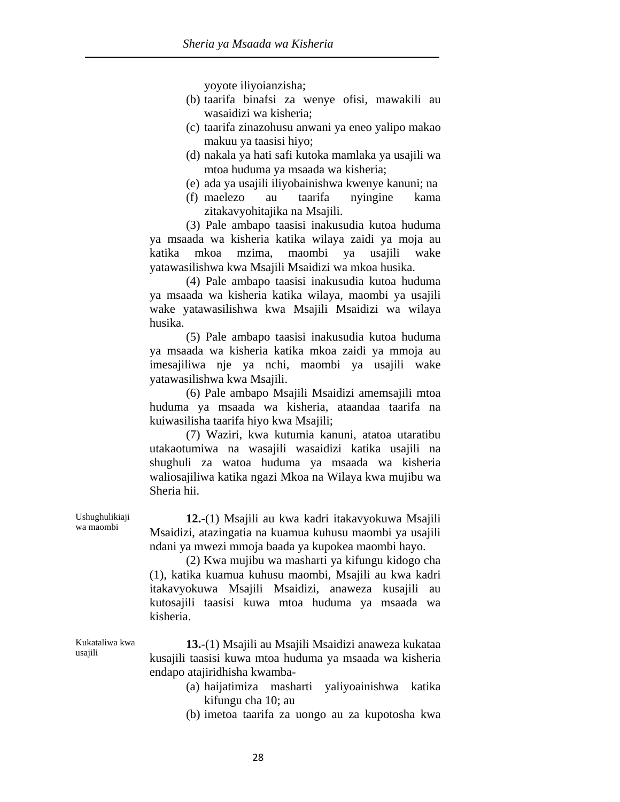yoyote iliyoianzisha;

- (b) taarifa binafsi za wenye ofisi, mawakili au wasaidizi wa kisheria;
- (c) taarifa zinazohusu anwani ya eneo yalipo makao makuu ya taasisi hiyo;
- (d) nakala ya hati safi kutoka mamlaka ya usajili wa mtoa huduma ya msaada wa kisheria;
- (e) ada ya usajili iliyobainishwa kwenye kanuni; na
- (f) maelezo au taarifa nyingine kama zitakavyohitajika na Msajili.

 (3) Pale ambapo taasisi inakusudia kutoa huduma ya msaada wa kisheria katika wilaya zaidi ya moja au katika mkoa mzima, maombi ya usajili wake yatawasilishwa kwa Msajili Msaidizi wa mkoa husika.

 (4) Pale ambapo taasisi inakusudia kutoa huduma ya msaada wa kisheria katika wilaya, maombi ya usajili wake yatawasilishwa kwa Msajili Msaidizi wa wilaya husika.

 (5) Pale ambapo taasisi inakusudia kutoa huduma ya msaada wa kisheria katika mkoa zaidi ya mmoja au imesajiliwa nje ya nchi, maombi ya usajili wake yatawasilishwa kwa Msajili.

 (6) Pale ambapo Msajili Msaidizi amemsajili mtoa huduma ya msaada wa kisheria, ataandaa taarifa na kuiwasilisha taarifa hiyo kwa Msajili;

 (7) Waziri, kwa kutumia kanuni, atatoa utaratibu utakaotumiwa na wasajili wasaidizi katika usajili na shughuli za watoa huduma ya msaada wa kisheria waliosajiliwa katika ngazi Mkoa na Wilaya kwa mujibu wa Sheria hii.

**12.**-(1) Msajili au kwa kadri itakavyokuwa Msajili Msaidizi, atazingatia na kuamua kuhusu maombi ya usajili ndani ya mwezi mmoja baada ya kupokea maombi hayo.

 (2) Kwa mujibu wa masharti ya kifungu kidogo cha (1), katika kuamua kuhusu maombi, Msajili au kwa kadri itakavyokuwa Msajili Msaidizi, anaweza kusajili au kutosajili taasisi kuwa mtoa huduma ya msaada wa kisheria.

**13.**-(1) Msajili au Msajili Msaidizi anaweza kukataa kusajili taasisi kuwa mtoa huduma ya msaada wa kisheria endapo atajiridhisha kwamba-

- (a) haijatimiza masharti yaliyoainishwa katika kifungu cha 10; au
- (b) imetoa taarifa za uongo au za kupotosha kwa

Ushughulikiaji wa maombi

Kukataliwa kwa

usajili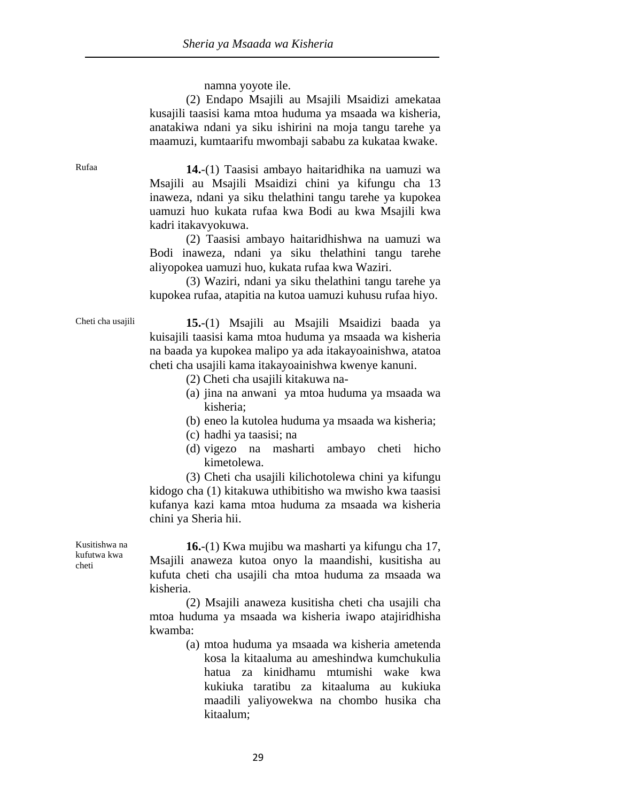namna yoyote ile.

 (2) Endapo Msajili au Msajili Msaidizi amekataa kusajili taasisi kama mtoa huduma ya msaada wa kisheria, anatakiwa ndani ya siku ishirini na moja tangu tarehe ya maamuzi, kumtaarifu mwombaji sababu za kukataa kwake.

Rufaa **14.**-(1) Taasisi ambayo haitaridhika na uamuzi wa Msajili au Msajili Msaidizi chini ya kifungu cha 13 inaweza, ndani ya siku thelathini tangu tarehe ya kupokea uamuzi huo kukata rufaa kwa Bodi au kwa Msajili kwa kadri itakavyokuwa.

> (2) Taasisi ambayo haitaridhishwa na uamuzi wa Bodi inaweza, ndani ya siku thelathini tangu tarehe aliyopokea uamuzi huo, kukata rufaa kwa Waziri.

> (3) Waziri, ndani ya siku thelathini tangu tarehe ya kupokea rufaa, atapitia na kutoa uamuzi kuhusu rufaa hiyo.

Cheti cha usajili **15.**-(1) Msajili au Msajili Msaidizi baada ya kuisajili taasisi kama mtoa huduma ya msaada wa kisheria na baada ya kupokea malipo ya ada itakayoainishwa, atatoa cheti cha usajili kama itakayoainishwa kwenye kanuni.

- (2) Cheti cha usajili kitakuwa na-
- (a) jina na anwani ya mtoa huduma ya msaada wa kisheria;
- (b) eneo la kutolea huduma ya msaada wa kisheria;
- (c) hadhi ya taasisi; na
- (d) vigezo na masharti ambayo cheti hicho kimetolewa.

 (3) Cheti cha usajili kilichotolewa chini ya kifungu kidogo cha (1) kitakuwa uthibitisho wa mwisho kwa taasisi kufanya kazi kama mtoa huduma za msaada wa kisheria chini ya Sheria hii.

Kusitishwa na kufutwa kwa cheti

**16.**-(1) Kwa mujibu wa masharti ya kifungu cha 17, Msajili anaweza kutoa onyo la maandishi, kusitisha au kufuta cheti cha usajili cha mtoa huduma za msaada wa kisheria.

 (2) Msajili anaweza kusitisha cheti cha usajili cha mtoa huduma ya msaada wa kisheria iwapo atajiridhisha kwamba:

> (a) mtoa huduma ya msaada wa kisheria ametenda kosa la kitaaluma au ameshindwa kumchukulia hatua za kinidhamu mtumishi wake kwa kukiuka taratibu za kitaaluma au kukiuka maadili yaliyowekwa na chombo husika cha kitaalum;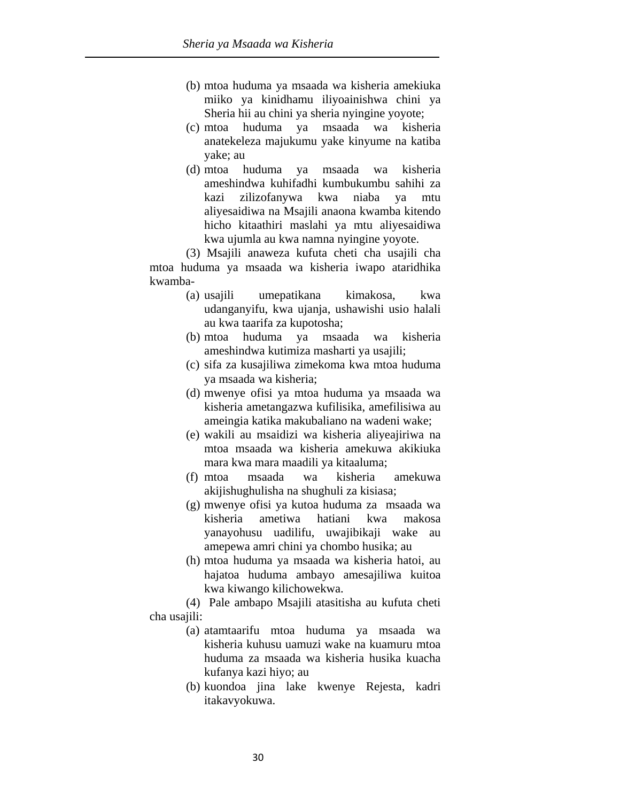- (b) mtoa huduma ya msaada wa kisheria amekiuka miiko ya kinidhamu iliyoainishwa chini ya Sheria hii au chini ya sheria nyingine yoyote;
- (c) mtoa huduma ya msaada wa kisheria anatekeleza majukumu yake kinyume na katiba yake; au
- (d) mtoa huduma ya msaada wa kisheria ameshindwa kuhifadhi kumbukumbu sahihi za kazi zilizofanywa kwa niaba ya mtu aliyesaidiwa na Msajili anaona kwamba kitendo hicho kitaathiri maslahi ya mtu aliyesaidiwa kwa ujumla au kwa namna nyingine yoyote.

 (3) Msajili anaweza kufuta cheti cha usajili cha mtoa huduma ya msaada wa kisheria iwapo ataridhika kwamba-

- (a) usajili umepatikana kimakosa, kwa udanganyifu, kwa ujanja, ushawishi usio halali au kwa taarifa za kupotosha;
- (b) mtoa huduma ya msaada wa kisheria ameshindwa kutimiza masharti ya usajili;
- (c) sifa za kusajiliwa zimekoma kwa mtoa huduma ya msaada wa kisheria;
- (d) mwenye ofisi ya mtoa huduma ya msaada wa kisheria ametangazwa kufilisika, amefilisiwa au ameingia katika makubaliano na wadeni wake;
- (e) wakili au msaidizi wa kisheria aliyeajiriwa na mtoa msaada wa kisheria amekuwa akikiuka mara kwa mara maadili ya kitaaluma;
- (f) mtoa msaada wa kisheria amekuwa akijishughulisha na shughuli za kisiasa;
- (g) mwenye ofisi ya kutoa huduma za msaada wa kisheria ametiwa hatiani kwa makosa yanayohusu uadilifu, uwajibikaji wake au amepewa amri chini ya chombo husika; au
- (h) mtoa huduma ya msaada wa kisheria hatoi, au hajatoa huduma ambayo amesajiliwa kuitoa kwa kiwango kilichowekwa.

 (4) Pale ambapo Msajili atasitisha au kufuta cheti cha usajili:

- (a) atamtaarifu mtoa huduma ya msaada wa kisheria kuhusu uamuzi wake na kuamuru mtoa huduma za msaada wa kisheria husika kuacha kufanya kazi hiyo; au
- (b) kuondoa jina lake kwenye Rejesta, kadri itakavyokuwa.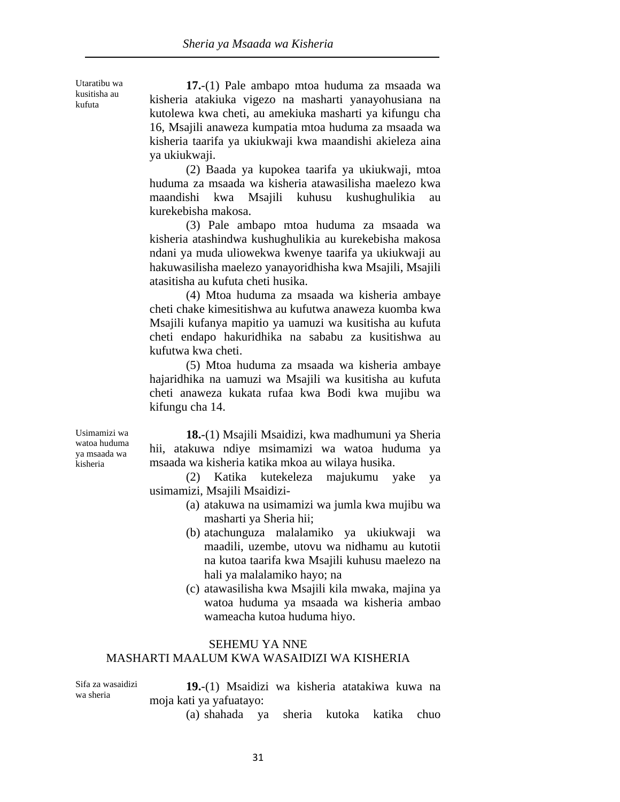Utaratibu wa kusitisha au kufuta

**17.**-(1) Pale ambapo mtoa huduma za msaada wa kisheria atakiuka vigezo na masharti yanayohusiana na kutolewa kwa cheti, au amekiuka masharti ya kifungu cha 16, Msajili anaweza kumpatia mtoa huduma za msaada wa kisheria taarifa ya ukiukwaji kwa maandishi akieleza aina ya ukiukwaji.

 (2) Baada ya kupokea taarifa ya ukiukwaji, mtoa huduma za msaada wa kisheria atawasilisha maelezo kwa maandishi kwa Msajili kuhusu kushughulikia au kurekebisha makosa.

 (3) Pale ambapo mtoa huduma za msaada wa kisheria atashindwa kushughulikia au kurekebisha makosa ndani ya muda uliowekwa kwenye taarifa ya ukiukwaji au hakuwasilisha maelezo yanayoridhisha kwa Msajili, Msajili atasitisha au kufuta cheti husika.

 (4) Mtoa huduma za msaada wa kisheria ambaye cheti chake kimesitishwa au kufutwa anaweza kuomba kwa Msajili kufanya mapitio ya uamuzi wa kusitisha au kufuta cheti endapo hakuridhika na sababu za kusitishwa au kufutwa kwa cheti.

 (5) Mtoa huduma za msaada wa kisheria ambaye hajaridhika na uamuzi wa Msajili wa kusitisha au kufuta cheti anaweza kukata rufaa kwa Bodi kwa mujibu wa kifungu cha 14.

Usimamizi wa watoa huduma ya msaada wa kisheria

**18.**-(1) Msajili Msaidizi, kwa madhumuni ya Sheria hii, atakuwa ndiye msimamizi wa watoa huduma ya msaada wa kisheria katika mkoa au wilaya husika.

 (2) Katika kutekeleza majukumu yake ya usimamizi, Msajili Msaidizi-

- (a) atakuwa na usimamizi wa jumla kwa mujibu wa masharti ya Sheria hii;
- (b) atachunguza malalamiko ya ukiukwaji wa maadili, uzembe, utovu wa nidhamu au kutotii na kutoa taarifa kwa Msajili kuhusu maelezo na hali ya malalamiko hayo; na
- (c) atawasilisha kwa Msajili kila mwaka, majina ya watoa huduma ya msaada wa kisheria ambao wameacha kutoa huduma hiyo.

#### SEHEMU YA NNE MASHARTI MAALUM KWA WASAIDIZI WA KISHERIA

Sifa za wasaidizi wa sheria

**19.**-(1) Msaidizi wa kisheria atatakiwa kuwa na moja kati ya yafuatayo:

(a) shahada ya sheria kutoka katika chuo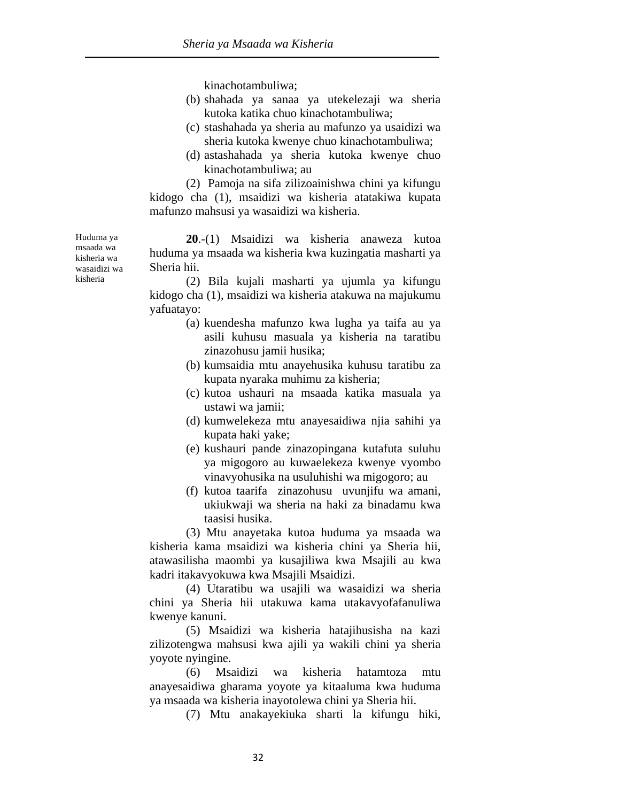kinachotambuliwa;

- (b) shahada ya sanaa ya utekelezaji wa sheria kutoka katika chuo kinachotambuliwa;
- (c) stashahada ya sheria au mafunzo ya usaidizi wa sheria kutoka kwenye chuo kinachotambuliwa;
- (d) astashahada ya sheria kutoka kwenye chuo kinachotambuliwa; au

 (2) Pamoja na sifa zilizoainishwa chini ya kifungu kidogo cha (1), msaidizi wa kisheria atatakiwa kupata mafunzo mahsusi ya wasaidizi wa kisheria.

**20**.-(1) Msaidizi wa kisheria anaweza kutoa huduma ya msaada wa kisheria kwa kuzingatia masharti ya Sheria hii.

 (2) Bila kujali masharti ya ujumla ya kifungu kidogo cha (1), msaidizi wa kisheria atakuwa na majukumu yafuatayo:

- (a) kuendesha mafunzo kwa lugha ya taifa au ya asili kuhusu masuala ya kisheria na taratibu zinazohusu jamii husika;
- (b) kumsaidia mtu anayehusika kuhusu taratibu za kupata nyaraka muhimu za kisheria;
- (c) kutoa ushauri na msaada katika masuala ya ustawi wa jamii;
- (d) kumwelekeza mtu anayesaidiwa njia sahihi ya kupata haki yake;
- (e) kushauri pande zinazopingana kutafuta suluhu ya migogoro au kuwaelekeza kwenye vyombo vinavyohusika na usuluhishi wa migogoro; au
- (f) kutoa taarifa zinazohusu uvunjifu wa amani, ukiukwaji wa sheria na haki za binadamu kwa taasisi husika.

 (3) Mtu anayetaka kutoa huduma ya msaada wa kisheria kama msaidizi wa kisheria chini ya Sheria hii, atawasilisha maombi ya kusajiliwa kwa Msajili au kwa kadri itakavyokuwa kwa Msajili Msaidizi.

 (4) Utaratibu wa usajili wa wasaidizi wa sheria chini ya Sheria hii utakuwa kama utakavyofafanuliwa kwenye kanuni.

 (5) Msaidizi wa kisheria hatajihusisha na kazi zilizotengwa mahsusi kwa ajili ya wakili chini ya sheria yoyote nyingine.

 (6) Msaidizi wa kisheria hatamtoza mtu anayesaidiwa gharama yoyote ya kitaaluma kwa huduma ya msaada wa kisheria inayotolewa chini ya Sheria hii.

(7) Mtu anakayekiuka sharti la kifungu hiki,

Huduma ya msaada wa kisheria wa wasaidizi wa kisheria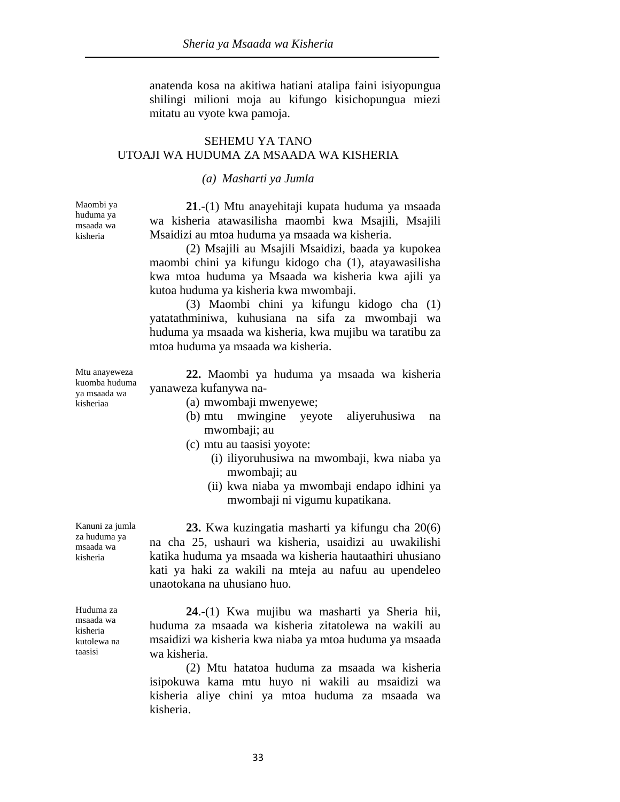anatenda kosa na akitiwa hatiani atalipa faini isiyopungua shilingi milioni moja au kifungo kisichopungua miezi mitatu au vyote kwa pamoja.

## SEHEMU YA TANO UTOAJI WA HUDUMA ZA MSAADA WA KISHERIA

#### *(a) Masharti ya Jumla*

Maombi ya huduma ya msaada wa kisheria

**21**.-(1) Mtu anayehitaji kupata huduma ya msaada wa kisheria atawasilisha maombi kwa Msajili, Msajili Msaidizi au mtoa huduma ya msaada wa kisheria.

 (2) Msajili au Msajili Msaidizi, baada ya kupokea maombi chini ya kifungu kidogo cha (1), atayawasilisha kwa mtoa huduma ya Msaada wa kisheria kwa ajili ya kutoa huduma ya kisheria kwa mwombaji.

 (3) Maombi chini ya kifungu kidogo cha (1) yatatathminiwa, kuhusiana na sifa za mwombaji wa huduma ya msaada wa kisheria, kwa mujibu wa taratibu za mtoa huduma ya msaada wa kisheria.

**22.** Maombi ya huduma ya msaada wa kisheria yanaweza kufanywa na-

- (a) mwombaji mwenyewe;
- (b) mtu mwingine yeyote aliyeruhusiwa na mwombaji; au
- (c) mtu au taasisi yoyote:
	- (i) iliyoruhusiwa na mwombaji, kwa niaba ya mwombaji; au
	- (ii) kwa niaba ya mwombaji endapo idhini ya mwombaji ni vigumu kupatikana.

**23.** Kwa kuzingatia masharti ya kifungu cha 20(6) na cha 25, ushauri wa kisheria, usaidizi au uwakilishi katika huduma ya msaada wa kisheria hautaathiri uhusiano kati ya haki za wakili na mteja au nafuu au upendeleo unaotokana na uhusiano huo.

**24**.-(1) Kwa mujibu wa masharti ya Sheria hii, huduma za msaada wa kisheria zitatolewa na wakili au msaidizi wa kisheria kwa niaba ya mtoa huduma ya msaada wa kisheria.

 (2) Mtu hatatoa huduma za msaada wa kisheria isipokuwa kama mtu huyo ni wakili au msaidizi wa kisheria aliye chini ya mtoa huduma za msaada wa kisheria.

Mtu anayeweza kuomba huduma ya msaada wa kisheriaa

za huduma ya msaada wa kisheria

Kanuni za jumla

Huduma za msaada wa kisheria kutolewa na taasisi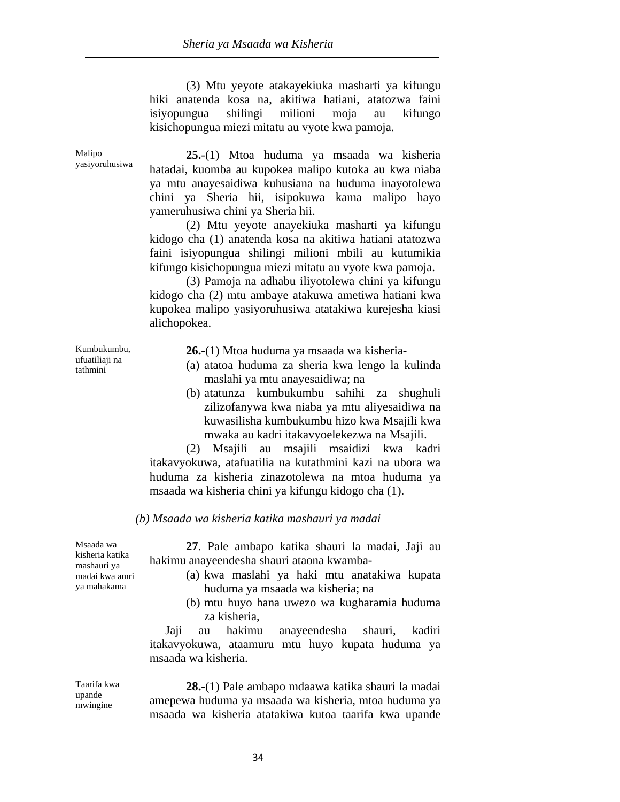(3) Mtu yeyote atakayekiuka masharti ya kifungu hiki anatenda kosa na, akitiwa hatiani, atatozwa faini isiyopungua shilingi milioni moja au kifungo kisichopungua miezi mitatu au vyote kwa pamoja.

**25.**-(1) Mtoa huduma ya msaada wa kisheria hatadai, kuomba au kupokea malipo kutoka au kwa niaba ya mtu anayesaidiwa kuhusiana na huduma inayotolewa chini ya Sheria hii, isipokuwa kama malipo hayo yameruhusiwa chini ya Sheria hii.

 (2) Mtu yeyote anayekiuka masharti ya kifungu kidogo cha (1) anatenda kosa na akitiwa hatiani atatozwa faini isiyopungua shilingi milioni mbili au kutumikia kifungo kisichopungua miezi mitatu au vyote kwa pamoja.

 (3) Pamoja na adhabu iliyotolewa chini ya kifungu kidogo cha (2) mtu ambaye atakuwa ametiwa hatiani kwa kupokea malipo yasiyoruhusiwa atatakiwa kurejesha kiasi alichopokea.

Kumbukumbu, ufuatiliaji na tathmini

Malipo yasiyoruhusiwa

**26.**-(1) Mtoa huduma ya msaada wa kisheria-

- (a) atatoa huduma za sheria kwa lengo la kulinda maslahi ya mtu anayesaidiwa; na
- (b) atatunza kumbukumbu sahihi za shughuli zilizofanywa kwa niaba ya mtu aliyesaidiwa na kuwasilisha kumbukumbu hizo kwa Msajili kwa mwaka au kadri itakavyoelekezwa na Msajili.

 (2) Msajili au msajili msaidizi kwa kadri itakavyokuwa, atafuatilia na kutathmini kazi na ubora wa huduma za kisheria zinazotolewa na mtoa huduma ya msaada wa kisheria chini ya kifungu kidogo cha (1).

#### *(b) Msaada wa kisheria katika mashauri ya madai*

Msaada wa kisheria katika mashauri ya madai kwa amri ya mahakama

**27**. Pale ambapo katika shauri la madai, Jaji au hakimu anayeendesha shauri ataona kwamba-

- (a) kwa maslahi ya haki mtu anatakiwa kupata huduma ya msaada wa kisheria; na
- (b) mtu huyo hana uwezo wa kugharamia huduma za kisheria,

 Jaji au hakimu anayeendesha shauri, kadiri itakavyokuwa, ataamuru mtu huyo kupata huduma ya msaada wa kisheria.

Taarifa kwa upande mwingine

**28.**-(1) Pale ambapo mdaawa katika shauri la madai amepewa huduma ya msaada wa kisheria, mtoa huduma ya msaada wa kisheria atatakiwa kutoa taarifa kwa upande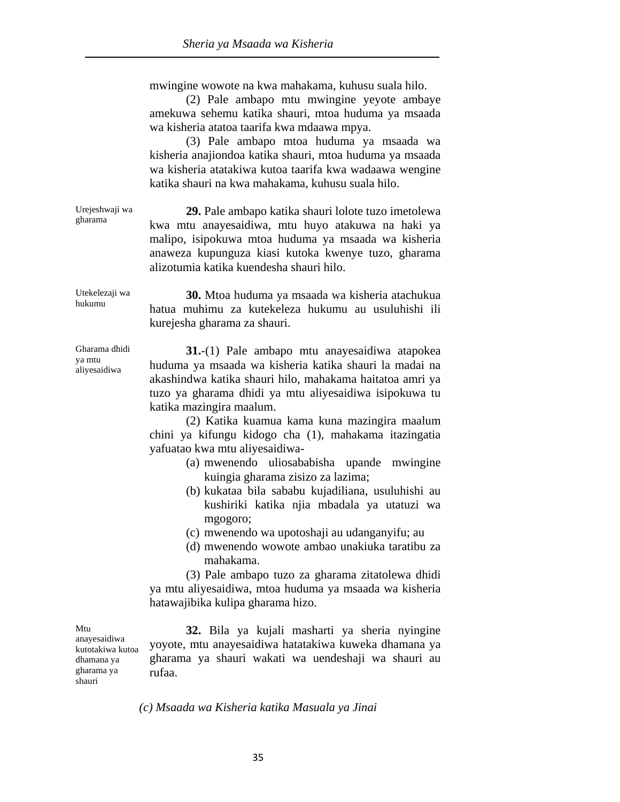mwingine wowote na kwa mahakama, kuhusu suala hilo.

 (2) Pale ambapo mtu mwingine yeyote ambaye amekuwa sehemu katika shauri, mtoa huduma ya msaada wa kisheria atatoa taarifa kwa mdaawa mpya.

 (3) Pale ambapo mtoa huduma ya msaada wa kisheria anajiondoa katika shauri, mtoa huduma ya msaada wa kisheria atatakiwa kutoa taarifa kwa wadaawa wengine katika shauri na kwa mahakama, kuhusu suala hilo.

Urejeshwaji wa gharama **29.** Pale ambapo katika shauri lolote tuzo imetolewa kwa mtu anayesaidiwa, mtu huyo atakuwa na haki ya malipo, isipokuwa mtoa huduma ya msaada wa kisheria anaweza kupunguza kiasi kutoka kwenye tuzo, gharama alizotumia katika kuendesha shauri hilo.

Utekelezaji wa **30.** Mtoa huduma ya msaada wa kisheria atachukua hatua muhimu za kutekeleza hukumu au usuluhishi ili kurejesha gharama za shauri.

Gharama dhidi ya mtu aliyesaidiwa

hukumu

**31.**-(1) Pale ambapo mtu anayesaidiwa atapokea huduma ya msaada wa kisheria katika shauri la madai na akashindwa katika shauri hilo, mahakama haitatoa amri ya tuzo ya gharama dhidi ya mtu aliyesaidiwa isipokuwa tu katika mazingira maalum.

 (2) Katika kuamua kama kuna mazingira maalum chini ya kifungu kidogo cha (1), mahakama itazingatia yafuatao kwa mtu aliyesaidiwa-

- (a) mwenendo uliosababisha upande mwingine kuingia gharama zisizo za lazima;
- (b) kukataa bila sababu kujadiliana, usuluhishi au kushiriki katika njia mbadala ya utatuzi wa mgogoro;
- (c) mwenendo wa upotoshaji au udanganyifu; au
- (d) mwenendo wowote ambao unakiuka taratibu za mahakama.

 (3) Pale ambapo tuzo za gharama zitatolewa dhidi ya mtu aliyesaidiwa, mtoa huduma ya msaada wa kisheria hatawajibika kulipa gharama hizo.

Mtu anayesaidiwa kutotakiwa kutoa dhamana ya gharama ya shauri

**32.** Bila ya kujali masharti ya sheria nyingine yoyote, mtu anayesaidiwa hatatakiwa kuweka dhamana ya gharama ya shauri wakati wa uendeshaji wa shauri au rufaa.

*(c) Msaada wa Kisheria katika Masuala ya Jinai*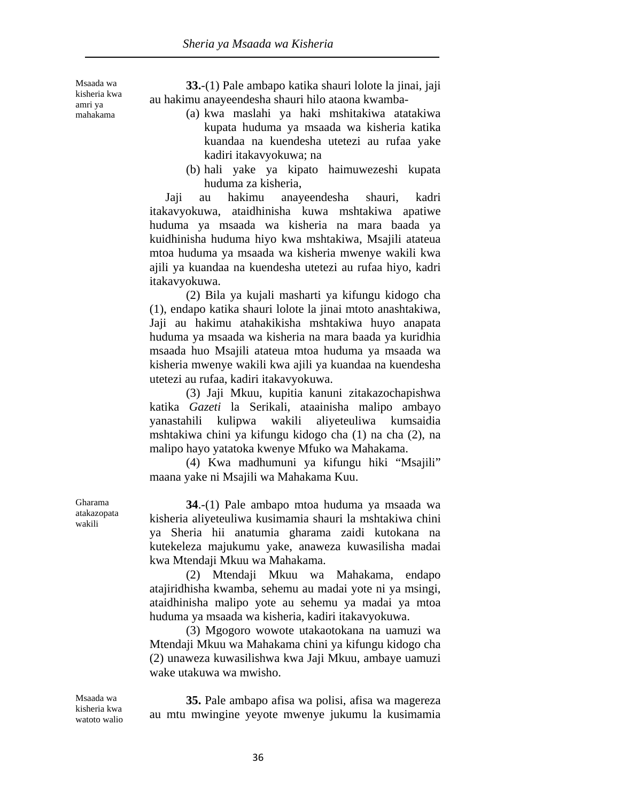Msaada wa kisheria kwa amri ya mahakama

**33.**-(1) Pale ambapo katika shauri lolote la jinai, jaji au hakimu anayeendesha shauri hilo ataona kwamba-

- (a) kwa maslahi ya haki mshitakiwa atatakiwa kupata huduma ya msaada wa kisheria katika kuandaa na kuendesha utetezi au rufaa yake kadiri itakavyokuwa; na
- (b) hali yake ya kipato haimuwezeshi kupata huduma za kisheria,

 Jaji au hakimu anayeendesha shauri, kadri itakavyokuwa, ataidhinisha kuwa mshtakiwa apatiwe huduma ya msaada wa kisheria na mara baada ya kuidhinisha huduma hiyo kwa mshtakiwa, Msajili atateua mtoa huduma ya msaada wa kisheria mwenye wakili kwa ajili ya kuandaa na kuendesha utetezi au rufaa hiyo, kadri itakavyokuwa.

 (2) Bila ya kujali masharti ya kifungu kidogo cha (1), endapo katika shauri lolote la jinai mtoto anashtakiwa, Jaji au hakimu atahakikisha mshtakiwa huyo anapata huduma ya msaada wa kisheria na mara baada ya kuridhia msaada huo Msajili atateua mtoa huduma ya msaada wa kisheria mwenye wakili kwa ajili ya kuandaa na kuendesha utetezi au rufaa, kadiri itakavyokuwa.

 (3) Jaji Mkuu, kupitia kanuni zitakazochapishwa katika *Gazeti* la Serikali, ataainisha malipo ambayo yanastahili kulipwa wakili aliyeteuliwa kumsaidia mshtakiwa chini ya kifungu kidogo cha (1) na cha (2), na malipo hayo yatatoka kwenye Mfuko wa Mahakama.

 (4) Kwa madhumuni ya kifungu hiki "Msajili" maana yake ni Msajili wa Mahakama Kuu.

**34**.-(1) Pale ambapo mtoa huduma ya msaada wa kisheria aliyeteuliwa kusimamia shauri la mshtakiwa chini ya Sheria hii anatumia gharama zaidi kutokana na kutekeleza majukumu yake, anaweza kuwasilisha madai kwa Mtendaji Mkuu wa Mahakama.

 (2) Mtendaji Mkuu wa Mahakama, endapo atajiridhisha kwamba, sehemu au madai yote ni ya msingi, ataidhinisha malipo yote au sehemu ya madai ya mtoa huduma ya msaada wa kisheria, kadiri itakavyokuwa.

 (3) Mgogoro wowote utakaotokana na uamuzi wa Mtendaji Mkuu wa Mahakama chini ya kifungu kidogo cha (2) unaweza kuwasilishwa kwa Jaji Mkuu, ambaye uamuzi wake utakuwa wa mwisho.

Msaada wa kisheria kwa watoto walio

**35.** Pale ambapo afisa wa polisi, afisa wa magereza au mtu mwingine yeyote mwenye jukumu la kusimamia

Gharama atakazopata wakili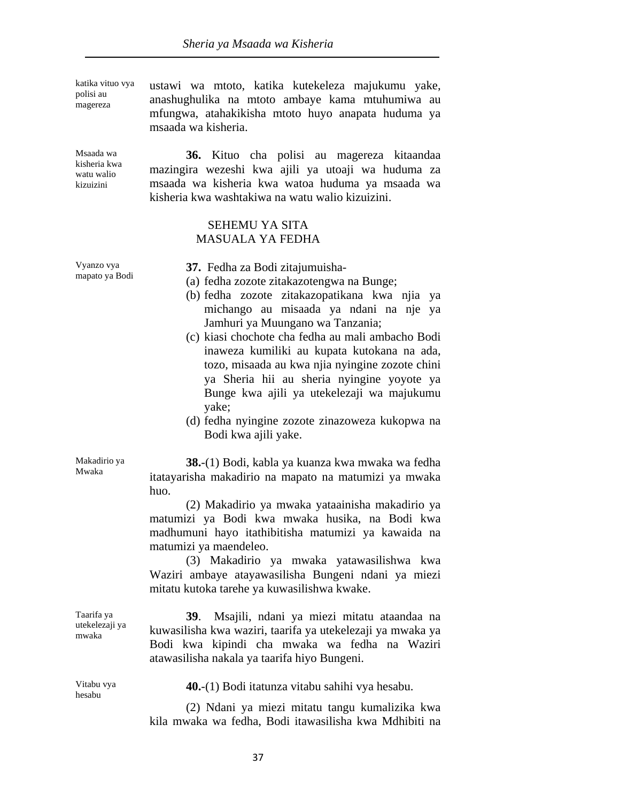| katika vituo vya<br>polisi au<br>magereza            | ustawi wa mtoto, katika kutekeleza majukumu yake,<br>anashughulika na mtoto ambaye kama mtuhumiwa au<br>mfungwa, atahakikisha mtoto huyo anapata huduma ya<br>msaada wa kisheria.                                                                                                                                                                                                                                                                                                                                                                        |
|------------------------------------------------------|----------------------------------------------------------------------------------------------------------------------------------------------------------------------------------------------------------------------------------------------------------------------------------------------------------------------------------------------------------------------------------------------------------------------------------------------------------------------------------------------------------------------------------------------------------|
| Msaada wa<br>kisheria kwa<br>watu walio<br>kizuizini | 36. Kituo cha polisi au magereza kitaandaa<br>mazingira wezeshi kwa ajili ya utoaji wa huduma za<br>msaada wa kisheria kwa watoa huduma ya msaada wa<br>kisheria kwa washtakiwa na watu walio kizuizini.                                                                                                                                                                                                                                                                                                                                                 |
|                                                      | <b>SEHEMU YA SITA</b><br><b>MASUALA YA FEDHA</b>                                                                                                                                                                                                                                                                                                                                                                                                                                                                                                         |
| Vyanzo vya<br>mapato ya Bodi                         | 37. Fedha za Bodi zitajumuisha-<br>(a) fedha zozote zitakazotengwa na Bunge;<br>(b) fedha zozote zitakazopatikana kwa njia<br>ya<br>michango au misaada ya ndani na nje<br>ya<br>Jamhuri ya Muungano wa Tanzania;<br>(c) kiasi chochote cha fedha au mali ambacho Bodi<br>inaweza kumiliki au kupata kutokana na ada,<br>tozo, misaada au kwa njia nyingine zozote chini<br>ya Sheria hii au sheria nyingine yoyote ya<br>Bunge kwa ajili ya utekelezaji wa majukumu<br>yake;<br>(d) fedha nyingine zozote zinazoweza kukopwa na<br>Bodi kwa ajili yake. |
| Makadirio ya<br>Mwaka                                | <b>38.</b> -(1) Bodi, kabla ya kuanza kwa mwaka wa fedha<br>itatayarisha makadirio na mapato na matumizi ya mwaka<br>huo.                                                                                                                                                                                                                                                                                                                                                                                                                                |
|                                                      | (2) Makadirio ya mwaka yataainisha makadirio ya<br>matumizi ya Bodi kwa mwaka husika, na Bodi kwa<br>and the state of the state of the state of the state of the state of the state of the state of the state of the                                                                                                                                                                                                                                                                                                                                     |

madhumuni hayo itathibitisha matumizi ya kawaida na matumizi ya maendeleo. (3) Makadirio ya mwaka yatawasilishwa kwa

Waziri ambaye atayawasilisha Bungeni ndani ya miezi mitatu kutoka tarehe ya kuwasilishwa kwake.

**39**. Msajili, ndani ya miezi mitatu ataandaa na kuwasilisha kwa waziri, taarifa ya utekelezaji ya mwaka ya Bodi kwa kipindi cha mwaka wa fedha na Waziri atawasilisha nakala ya taarifa hiyo Bungeni.

Vitabu vya hesabu

Taarifa ya utekelezaji ya mwaka

**40.**-(1) Bodi itatunza vitabu sahihi vya hesabu.

 (2) Ndani ya miezi mitatu tangu kumalizika kwa kila mwaka wa fedha, Bodi itawasilisha kwa Mdhibiti na

37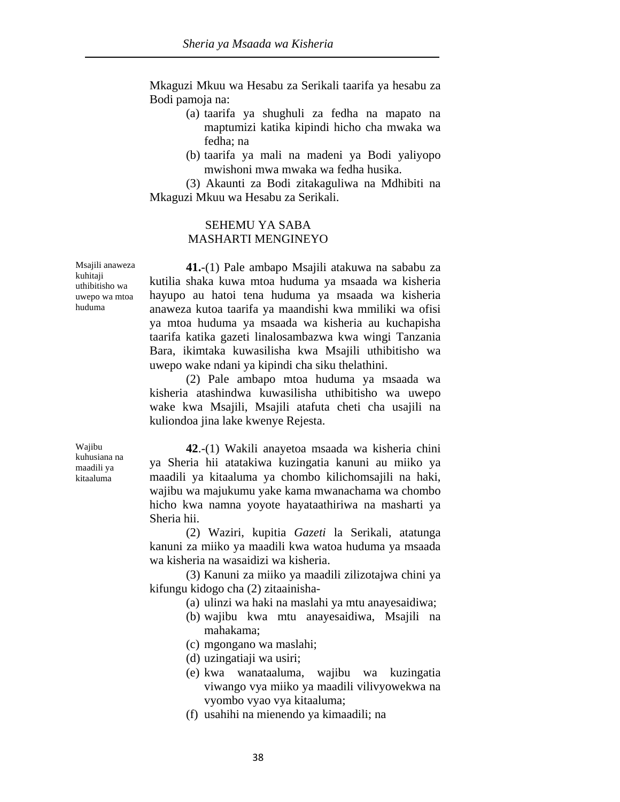Mkaguzi Mkuu wa Hesabu za Serikali taarifa ya hesabu za Bodi pamoja na:

- (a) taarifa ya shughuli za fedha na mapato na maptumizi katika kipindi hicho cha mwaka wa fedha; na
- (b) taarifa ya mali na madeni ya Bodi yaliyopo mwishoni mwa mwaka wa fedha husika.

 (3) Akaunti za Bodi zitakaguliwa na Mdhibiti na Mkaguzi Mkuu wa Hesabu za Serikali.

#### SEHEMU YA SABA MASHARTI MENGINEYO

**41.**-(1) Pale ambapo Msajili atakuwa na sababu za kutilia shaka kuwa mtoa huduma ya msaada wa kisheria hayupo au hatoi tena huduma ya msaada wa kisheria anaweza kutoa taarifa ya maandishi kwa mmiliki wa ofisi ya mtoa huduma ya msaada wa kisheria au kuchapisha taarifa katika gazeti linalosambazwa kwa wingi Tanzania Bara, ikimtaka kuwasilisha kwa Msajili uthibitisho wa uwepo wake ndani ya kipindi cha siku thelathini.

 (2) Pale ambapo mtoa huduma ya msaada wa kisheria atashindwa kuwasilisha uthibitisho wa uwepo wake kwa Msajili, Msajili atafuta cheti cha usajili na kuliondoa jina lake kwenye Rejesta.

**42**.-(1) Wakili anayetoa msaada wa kisheria chini ya Sheria hii atatakiwa kuzingatia kanuni au miiko ya maadili ya kitaaluma ya chombo kilichomsajili na haki, wajibu wa majukumu yake kama mwanachama wa chombo hicho kwa namna yoyote hayataathiriwa na masharti ya Sheria hii.

 (2) Waziri, kupitia *Gazeti* la Serikali, atatunga kanuni za miiko ya maadili kwa watoa huduma ya msaada wa kisheria na wasaidizi wa kisheria.

 (3) Kanuni za miiko ya maadili zilizotajwa chini ya kifungu kidogo cha (2) zitaainisha-

- (a) ulinzi wa haki na maslahi ya mtu anayesaidiwa;
- (b) wajibu kwa mtu anayesaidiwa, Msajili na mahakama;
- (c) mgongano wa maslahi;
- (d) uzingatiaji wa usiri;
- (e) kwa wanataaluma, wajibu wa kuzingatia viwango vya miiko ya maadili vilivyowekwa na vyombo vyao vya kitaaluma;
- (f) usahihi na mienendo ya kimaadili; na

Msajili anaweza kuhitaji uthibitisho wa uwepo wa mtoa huduma

Wajibu kuhusiana na maadili ya kitaaluma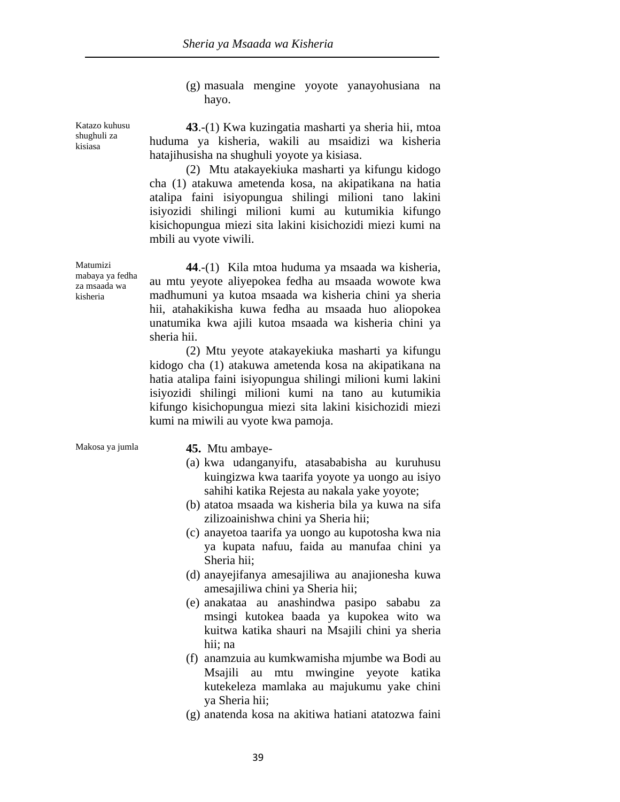(g) masuala mengine yoyote yanayohusiana na hayo.

**43**.-(1) Kwa kuzingatia masharti ya sheria hii, mtoa huduma ya kisheria, wakili au msaidizi wa kisheria hatajihusisha na shughuli yoyote ya kisiasa.

 (2) Mtu atakayekiuka masharti ya kifungu kidogo cha (1) atakuwa ametenda kosa, na akipatikana na hatia atalipa faini isiyopungua shilingi milioni tano lakini isiyozidi shilingi milioni kumi au kutumikia kifungo kisichopungua miezi sita lakini kisichozidi miezi kumi na mbili au vyote viwili.

**44**.-(1) Kila mtoa huduma ya msaada wa kisheria, au mtu yeyote aliyepokea fedha au msaada wowote kwa madhumuni ya kutoa msaada wa kisheria chini ya sheria hii, atahakikisha kuwa fedha au msaada huo aliopokea unatumika kwa ajili kutoa msaada wa kisheria chini ya sheria hii.

 (2) Mtu yeyote atakayekiuka masharti ya kifungu kidogo cha (1) atakuwa ametenda kosa na akipatikana na hatia atalipa faini isiyopungua shilingi milioni kumi lakini isiyozidi shilingi milioni kumi na tano au kutumikia kifungo kisichopungua miezi sita lakini kisichozidi miezi kumi na miwili au vyote kwa pamoja.

#### Makosa ya jumla **45.** Mtu ambaye-

- (a) kwa udanganyifu, atasababisha au kuruhusu kuingizwa kwa taarifa yoyote ya uongo au isiyo sahihi katika Rejesta au nakala yake yoyote;
- (b) atatoa msaada wa kisheria bila ya kuwa na sifa zilizoainishwa chini ya Sheria hii;
- (c) anayetoa taarifa ya uongo au kupotosha kwa nia ya kupata nafuu, faida au manufaa chini ya Sheria hii;
- (d) anayejifanya amesajiliwa au anajionesha kuwa amesajiliwa chini ya Sheria hii;
- (e) anakataa au anashindwa pasipo sababu za msingi kutokea baada ya kupokea wito wa kuitwa katika shauri na Msajili chini ya sheria hii; na
- (f) anamzuia au kumkwamisha mjumbe wa Bodi au Msajili au mtu mwingine yeyote katika kutekeleza mamlaka au majukumu yake chini ya Sheria hii;
- (g) anatenda kosa na akitiwa hatiani atatozwa faini

Matumizi mabaya ya fedha

Katazo kuhusu shughuli za kisiasa

za msaada wa kisheria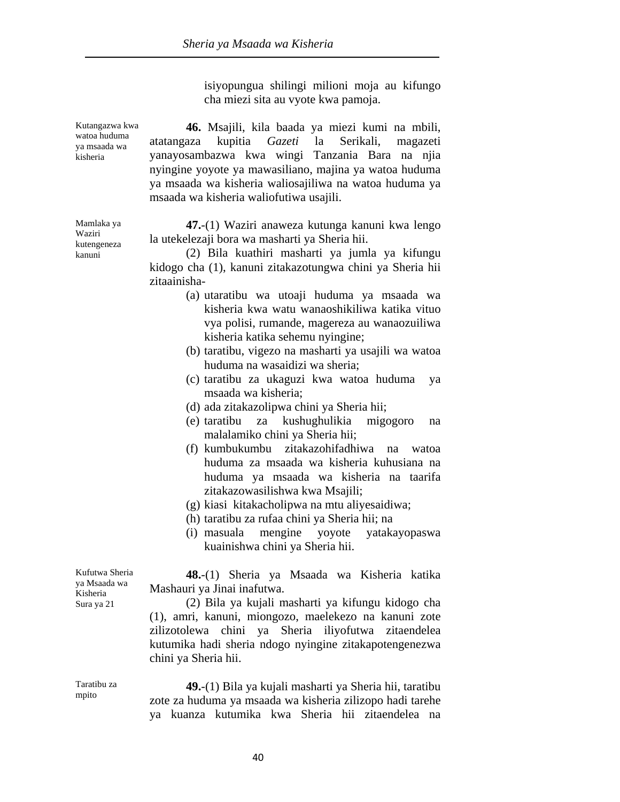isiyopungua shilingi milioni moja au kifungo cha miezi sita au vyote kwa pamoja.

Kutangazwa kwa watoa huduma ya msaada wa kisheria **46.** Msajili, kila baada ya miezi kumi na mbili, atatangaza kupitia *Gazeti* la Serikali, magazeti yanayosambazwa kwa wingi Tanzania Bara na njia nyingine yoyote ya mawasiliano, majina ya watoa huduma ya msaada wa kisheria waliosajiliwa na watoa huduma ya msaada wa kisheria waliofutiwa usajili. Mamlaka ya **47.**-(1) Waziri anaweza kutunga kanuni kwa lengo la utekelezaji bora wa masharti ya Sheria hii. (2) Bila kuathiri masharti ya jumla ya kifungu kidogo cha (1), kanuni zitakazotungwa chini ya Sheria hii zitaainisha- (a) utaratibu wa utoaji huduma ya msaada wa kisheria kwa watu wanaoshikiliwa katika vituo vya polisi, rumande, magereza au wanaozuiliwa kisheria katika sehemu nyingine; (b) taratibu, vigezo na masharti ya usajili wa watoa huduma na wasaidizi wa sheria; (c) taratibu za ukaguzi kwa watoa huduma ya msaada wa kisheria; (d) ada zitakazolipwa chini ya Sheria hii; (e) taratibu za kushughulikia migogoro na malalamiko chini ya Sheria hii; (f) kumbukumbu zitakazohifadhiwa na watoa

huduma za msaada wa kisheria kuhusiana na huduma ya msaada wa kisheria na taarifa zitakazowasilishwa kwa Msajili;

(g) kiasi kitakacholipwa na mtu aliyesaidiwa;

(h) taratibu za rufaa chini ya Sheria hii; na

(i) masuala mengine yoyote yatakayopaswa kuainishwa chini ya Sheria hii.

**48.**-(1) Sheria ya Msaada wa Kisheria katika Mashauri ya Jinai inafutwa.

 (2) Bila ya kujali masharti ya kifungu kidogo cha (1), amri, kanuni, miongozo, maelekezo na kanuni zote zilizotolewa chini ya Sheria iliyofutwa zitaendelea kutumika hadi sheria ndogo nyingine zitakapotengenezwa chini ya Sheria hii.

Taratibu za mpito

Kufutwa Sheria ya Msaada wa Kisheria Sura ya 21

> **49.**-(1) Bila ya kujali masharti ya Sheria hii, taratibu zote za huduma ya msaada wa kisheria zilizopo hadi tarehe ya kuanza kutumika kwa Sheria hii zitaendelea na

Waziri kutengeneza kanuni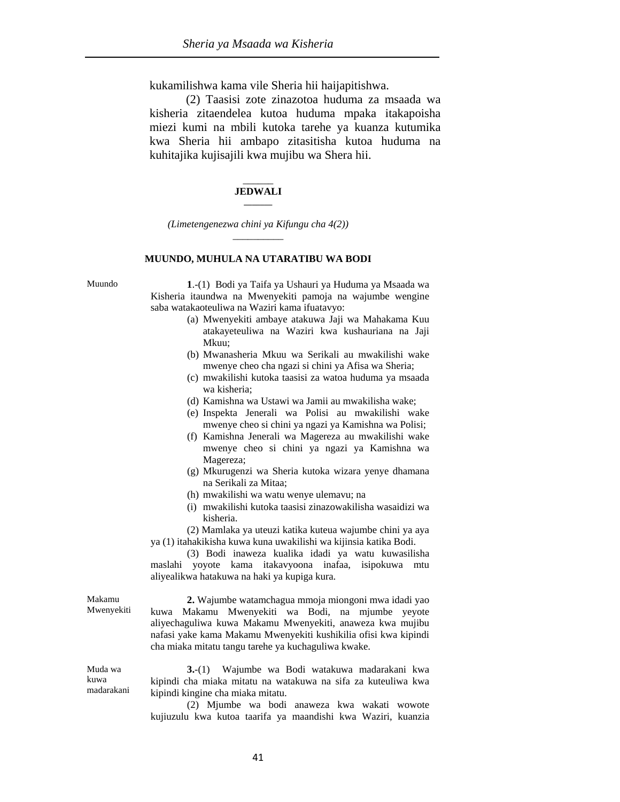kukamilishwa kama vile Sheria hii haijapitishwa.

 (2) Taasisi zote zinazotoa huduma za msaada wa kisheria zitaendelea kutoa huduma mpaka itakapoisha miezi kumi na mbili kutoka tarehe ya kuanza kutumika kwa Sheria hii ambapo zitasitisha kutoa huduma na kuhitajika kujisajili kwa mujibu wa Shera hii.

#### $\overline{\phantom{a}}$ **JEDWALI \_\_\_\_\_\_\_**

*(Limetengenezwa chini ya Kifungu cha 4(2))*  \_\_\_\_\_\_\_\_\_\_

#### **MUUNDO, MUHULA NA UTARATIBU WA BODI**

Muundo **1**.-(1) Bodi ya Taifa ya Ushauri ya Huduma ya Msaada wa Kisheria itaundwa na Mwenyekiti pamoja na wajumbe wengine saba watakaoteuliwa na Waziri kama ifuatavyo:

- (a) Mwenyekiti ambaye atakuwa Jaji wa Mahakama Kuu atakayeteuliwa na Waziri kwa kushauriana na Jaji Mkuu;
- (b) Mwanasheria Mkuu wa Serikali au mwakilishi wake mwenye cheo cha ngazi si chini ya Afisa wa Sheria;
- (c) mwakilishi kutoka taasisi za watoa huduma ya msaada wa kisheria;
- (d) Kamishna wa Ustawi wa Jamii au mwakilisha wake;
- (e) Inspekta Jenerali wa Polisi au mwakilishi wake mwenye cheo si chini ya ngazi ya Kamishna wa Polisi;
- (f) Kamishna Jenerali wa Magereza au mwakilishi wake mwenye cheo si chini ya ngazi ya Kamishna wa Magereza;
- (g) Mkurugenzi wa Sheria kutoka wizara yenye dhamana na Serikali za Mitaa;
- (h) mwakilishi wa watu wenye ulemavu; na
- (i) mwakilishi kutoka taasisi zinazowakilisha wasaidizi wa kisheria.

 (2) Mamlaka ya uteuzi katika kuteua wajumbe chini ya aya ya (1) itahakikisha kuwa kuna uwakilishi wa kijinsia katika Bodi.

 (3) Bodi inaweza kualika idadi ya watu kuwasilisha maslahi yoyote kama itakavyoona inafaa, isipokuwa mtu aliyealikwa hatakuwa na haki ya kupiga kura.

**2.** Wajumbe watamchagua mmoja miongoni mwa idadi yao kuwa Makamu Mwenyekiti wa Bodi, na mjumbe yeyote aliyechaguliwa kuwa Makamu Mwenyekiti, anaweza kwa mujibu nafasi yake kama Makamu Mwenyekiti kushikilia ofisi kwa kipindi cha miaka mitatu tangu tarehe ya kuchaguliwa kwake.

Muda wa kuwa madarakani

Makamu Mwenyekiti

> **3.**-(1) Wajumbe wa Bodi watakuwa madarakani kwa kipindi cha miaka mitatu na watakuwa na sifa za kuteuliwa kwa kipindi kingine cha miaka mitatu.

> (2) Mjumbe wa bodi anaweza kwa wakati wowote kujiuzulu kwa kutoa taarifa ya maandishi kwa Waziri, kuanzia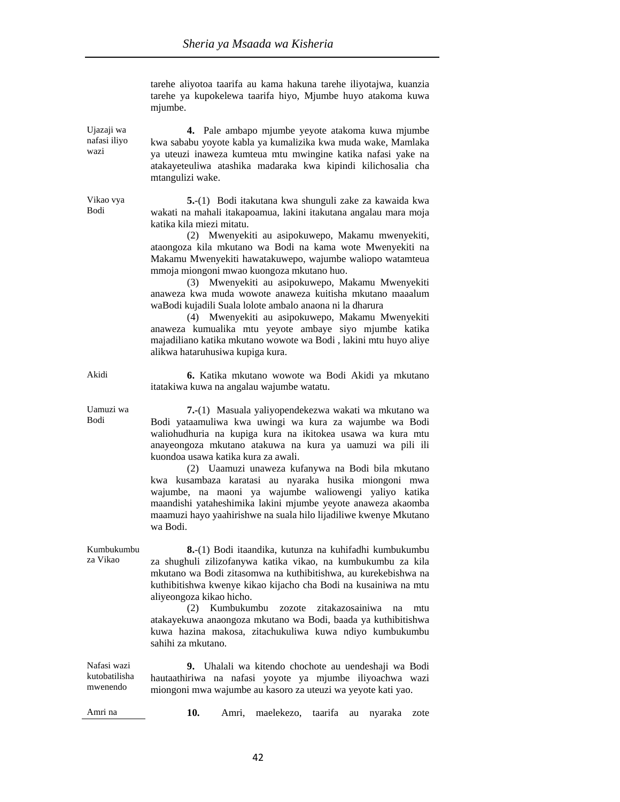tarehe aliyotoa taarifa au kama hakuna tarehe iliyotajwa, kuanzia tarehe ya kupokelewa taarifa hiyo, Mjumbe huyo atakoma kuwa miumbe.

Ujazaji wa nafasi iliyo **4.** Pale ambapo mjumbe yeyote atakoma kuwa mjumbe kwa sababu yoyote kabla ya kumalizika kwa muda wake, Mamlaka ya uteuzi inaweza kumteua mtu mwingine katika nafasi yake na atakayeteuliwa atashika madaraka kwa kipindi kilichosalia cha mtangulizi wake.

> **5.**-(1) Bodi itakutana kwa shunguli zake za kawaida kwa wakati na mahali itakapoamua, lakini itakutana angalau mara moja katika kila miezi mitatu.

> (2) Mwenyekiti au asipokuwepo, Makamu mwenyekiti, ataongoza kila mkutano wa Bodi na kama wote Mwenyekiti na Makamu Mwenyekiti hawatakuwepo, wajumbe waliopo watamteua mmoja miongoni mwao kuongoza mkutano huo.

> (3) Mwenyekiti au asipokuwepo, Makamu Mwenyekiti anaweza kwa muda wowote anaweza kuitisha mkutano maaalum waBodi kujadili Suala lolote ambalo anaona ni la dharura

> (4) Mwenyekiti au asipokuwepo, Makamu Mwenyekiti anaweza kumualika mtu yeyote ambaye siyo mjumbe katika majadiliano katika mkutano wowote wa Bodi , lakini mtu huyo aliye alikwa hataruhusiwa kupiga kura.

Akidi **6.** Katika mkutano wowote wa Bodi Akidi ya mkutano itatakiwa kuwa na angalau wajumbe watatu.

> **7.-**(1) Masuala yaliyopendekezwa wakati wa mkutano wa Bodi yataamuliwa kwa uwingi wa kura za wajumbe wa Bodi waliohudhuria na kupiga kura na ikitokea usawa wa kura mtu anayeongoza mkutano atakuwa na kura ya uamuzi wa pili ili kuondoa usawa katika kura za awali.

 (2) Uaamuzi unaweza kufanywa na Bodi bila mkutano kwa kusambaza karatasi au nyaraka husika miongoni mwa wajumbe, na maoni ya wajumbe waliowengi yaliyo katika maandishi yataheshimika lakini mjumbe yeyote anaweza akaomba maamuzi hayo yaahirishwe na suala hilo lijadiliwe kwenye Mkutano wa Bodi.

Kumbukumbu za Vikao **8.**-(1) Bodi itaandika, kutunza na kuhifadhi kumbukumbu za shughuli zilizofanywa katika vikao, na kumbukumbu za kila mkutano wa Bodi zitasomwa na kuthibitishwa, au kurekebishwa na kuthibitishwa kwenye kikao kijacho cha Bodi na kusainiwa na mtu aliyeongoza kikao hicho.

 (2) Kumbukumbu zozote zitakazosainiwa na mtu atakayekuwa anaongoza mkutano wa Bodi, baada ya kuthibitishwa kuwa hazina makosa, zitachukuliwa kuwa ndiyo kumbukumbu sahihi za mkutano.

Nafasi wazi kutobatilisha mwenendo **9.** Uhalali wa kitendo chochote au uendeshaji wa Bodi hautaathiriwa na nafasi yoyote ya mjumbe iliyoachwa wazi miongoni mwa wajumbe au kasoro za uteuzi wa yeyote kati yao.

Amri na **10.** Amri, maelekezo, taarifa au nyaraka zote

Uamuzi wa Bodi

Vikao vya Bodi

wazi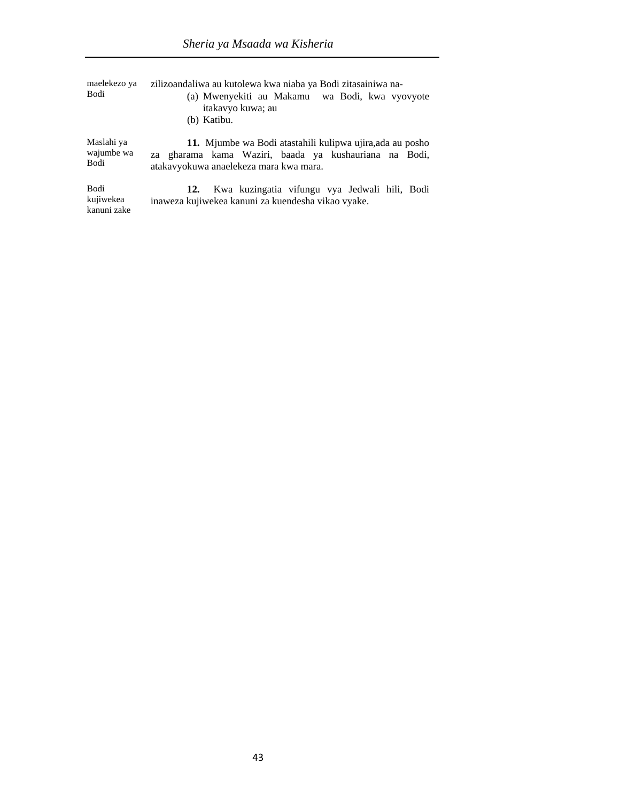| maelekezo ya<br>Bodi | zilizoandaliwa au kutolewa kwa niaba ya Bodi zitasainiwa na-<br>(a) Mwenyekiti au Makamu wa Bodi, kwa vyovyote<br>itakavyo kuwa; au<br>(b) Katibu. |
|----------------------|----------------------------------------------------------------------------------------------------------------------------------------------------|
| Maslahi ya           | 11. Mjumbe wa Bodi atastahili kulipwa ujira, ada au posho                                                                                          |
| wajumbe wa           | za gharama kama Waziri, baada ya kushauriana na Bodi,                                                                                              |
| Bodi                 | atakavyokuwa anaelekeza mara kwa mara.                                                                                                             |
| Bodi                 | Kwa kuzingatia vifungu vya Jedwali hili, Bodi                                                                                                      |
| kujiwekea            | 12.                                                                                                                                                |
| kanuni zake          | inaweza kujiwekea kanuni za kuendesha vikao vyake.                                                                                                 |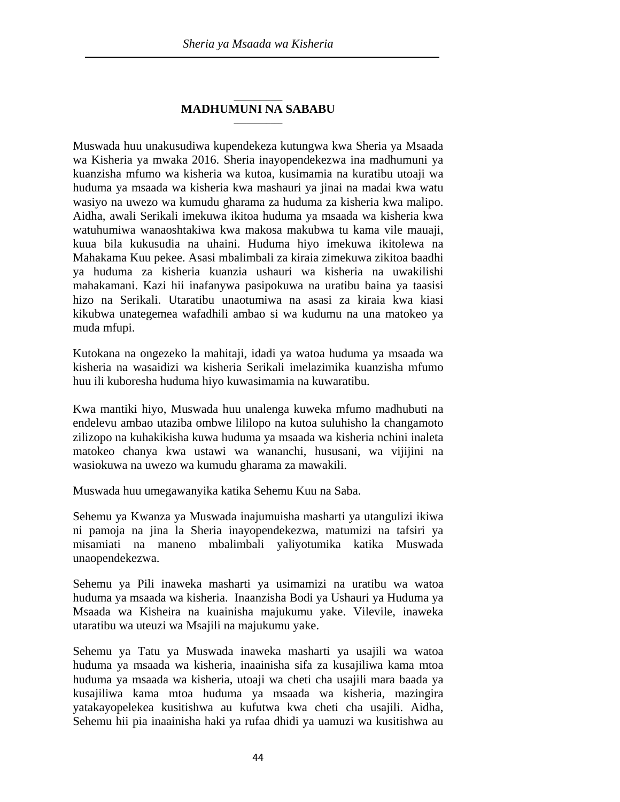#### \_\_\_\_\_\_\_\_\_\_\_\_ **MADHUMUNI NA SABABU**  $\overline{\phantom{a}}$

Muswada huu unakusudiwa kupendekeza kutungwa kwa Sheria ya Msaada wa Kisheria ya mwaka 2016. Sheria inayopendekezwa ina madhumuni ya kuanzisha mfumo wa kisheria wa kutoa, kusimamia na kuratibu utoaji wa huduma ya msaada wa kisheria kwa mashauri ya jinai na madai kwa watu wasiyo na uwezo wa kumudu gharama za huduma za kisheria kwa malipo. Aidha, awali Serikali imekuwa ikitoa huduma ya msaada wa kisheria kwa watuhumiwa wanaoshtakiwa kwa makosa makubwa tu kama vile mauaji, kuua bila kukusudia na uhaini. Huduma hiyo imekuwa ikitolewa na Mahakama Kuu pekee. Asasi mbalimbali za kiraia zimekuwa zikitoa baadhi ya huduma za kisheria kuanzia ushauri wa kisheria na uwakilishi mahakamani. Kazi hii inafanywa pasipokuwa na uratibu baina ya taasisi hizo na Serikali. Utaratibu unaotumiwa na asasi za kiraia kwa kiasi kikubwa unategemea wafadhili ambao si wa kudumu na una matokeo ya muda mfupi.

Kutokana na ongezeko la mahitaji, idadi ya watoa huduma ya msaada wa kisheria na wasaidizi wa kisheria Serikali imelazimika kuanzisha mfumo huu ili kuboresha huduma hiyo kuwasimamia na kuwaratibu.

Kwa mantiki hiyo, Muswada huu unalenga kuweka mfumo madhubuti na endelevu ambao utaziba ombwe lililopo na kutoa suluhisho la changamoto zilizopo na kuhakikisha kuwa huduma ya msaada wa kisheria nchini inaleta matokeo chanya kwa ustawi wa wananchi, hususani, wa vijijini na wasiokuwa na uwezo wa kumudu gharama za mawakili.

Muswada huu umegawanyika katika Sehemu Kuu na Saba.

Sehemu ya Kwanza ya Muswada inajumuisha masharti ya utangulizi ikiwa ni pamoja na jina la Sheria inayopendekezwa, matumizi na tafsiri ya misamiati na maneno mbalimbali yaliyotumika katika Muswada unaopendekezwa.

Sehemu ya Pili inaweka masharti ya usimamizi na uratibu wa watoa huduma ya msaada wa kisheria. Inaanzisha Bodi ya Ushauri ya Huduma ya Msaada wa Kisheira na kuainisha majukumu yake. Vilevile, inaweka utaratibu wa uteuzi wa Msajili na majukumu yake.

Sehemu ya Tatu ya Muswada inaweka masharti ya usajili wa watoa huduma ya msaada wa kisheria, inaainisha sifa za kusajiliwa kama mtoa huduma ya msaada wa kisheria, utoaji wa cheti cha usajili mara baada ya kusajiliwa kama mtoa huduma ya msaada wa kisheria, mazingira yatakayopelekea kusitishwa au kufutwa kwa cheti cha usajili. Aidha, Sehemu hii pia inaainisha haki ya rufaa dhidi ya uamuzi wa kusitishwa au